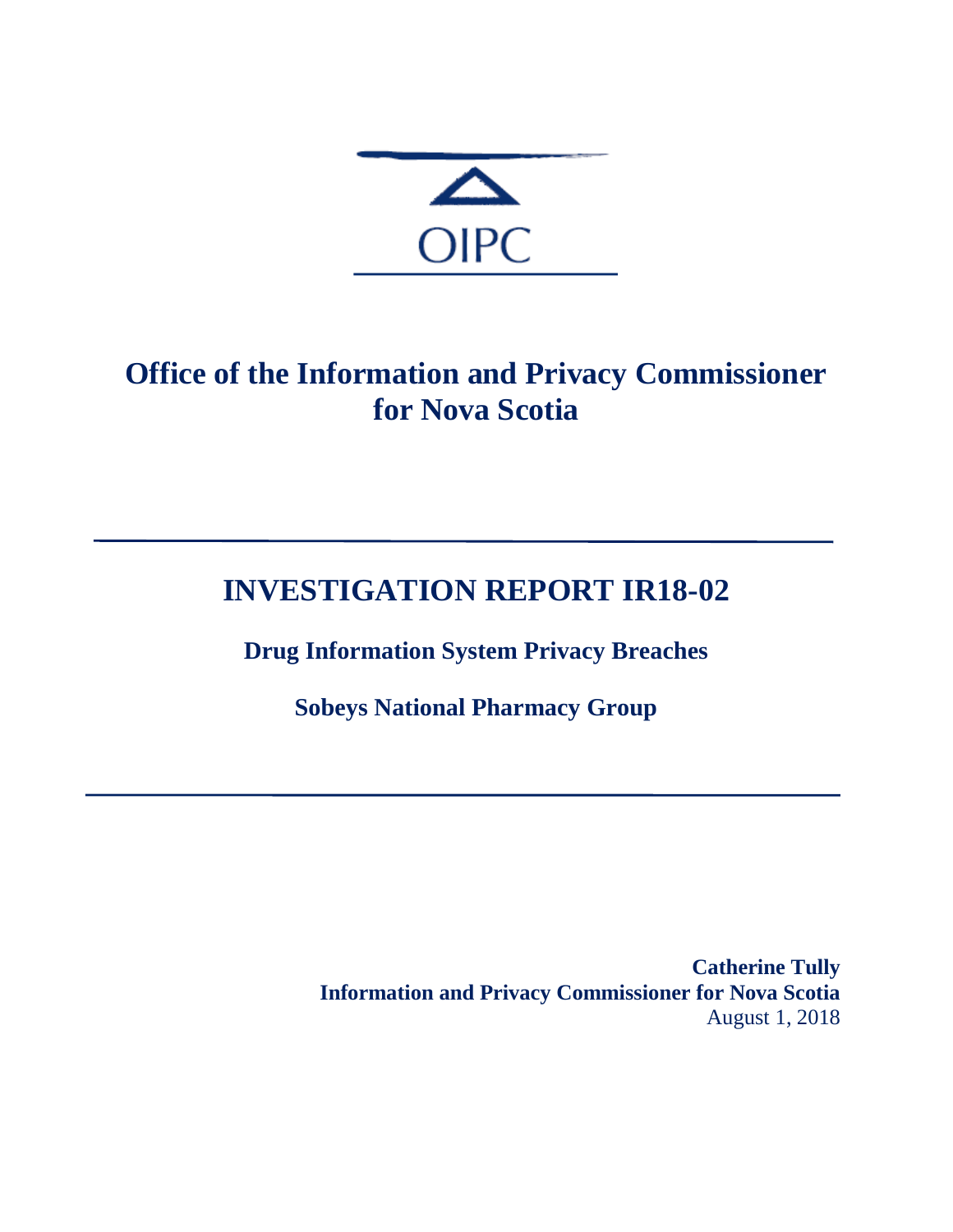

# **Office of the Information and Privacy Commissioner for Nova Scotia**

# **INVESTIGATION REPORT IR18-02**

**Drug Information System Privacy Breaches**

**Sobeys National Pharmacy Group**

**Catherine Tully Information and Privacy Commissioner for Nova Scotia** August 1, 2018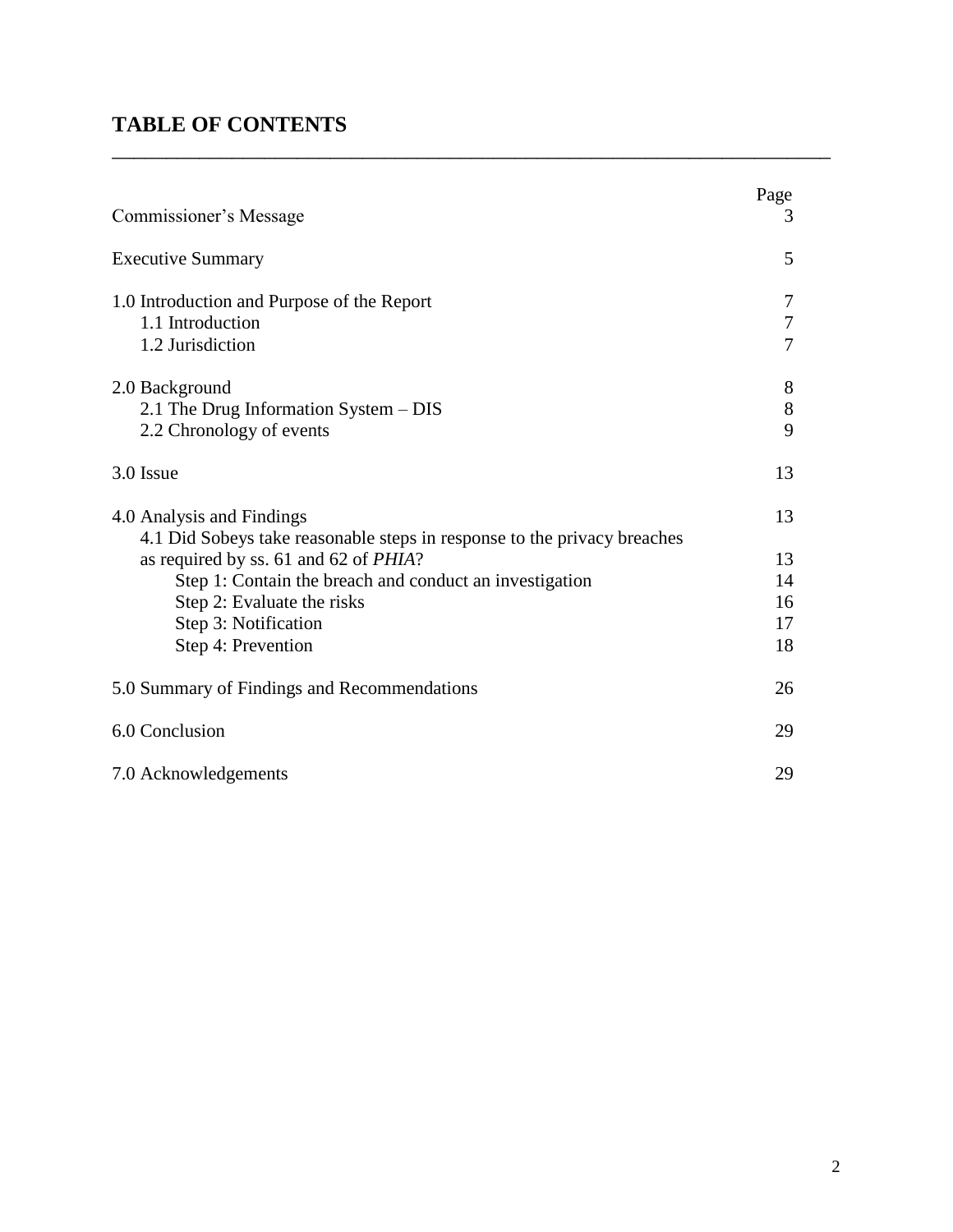# **TABLE OF CONTENTS**

| Commissioner's Message                                                                                | Page<br>3       |
|-------------------------------------------------------------------------------------------------------|-----------------|
| <b>Executive Summary</b>                                                                              | 5               |
| 1.0 Introduction and Purpose of the Report<br>1.1 Introduction<br>1.2 Jurisdiction                    | 7<br>7<br>7     |
| 2.0 Background<br>2.1 The Drug Information System – DIS<br>2.2 Chronology of events                   | 8<br>$8\,$<br>9 |
| 3.0 Issue                                                                                             | 13              |
| 4.0 Analysis and Findings<br>4.1 Did Sobeys take reasonable steps in response to the privacy breaches | 13              |
| as required by ss. 61 and 62 of <i>PHIA</i> ?                                                         | 13              |
| Step 1: Contain the breach and conduct an investigation                                               | 14              |
| Step 2: Evaluate the risks                                                                            | 16              |
| Step 3: Notification                                                                                  | 17              |
| Step 4: Prevention                                                                                    | 18              |
| 5.0 Summary of Findings and Recommendations                                                           | 26              |
| 6.0 Conclusion                                                                                        | 29              |
| 7.0 Acknowledgements                                                                                  | 29              |

 $\overline{a_1}$  ,  $\overline{a_2}$  ,  $\overline{a_3}$  ,  $\overline{a_4}$  ,  $\overline{a_5}$  ,  $\overline{a_6}$  ,  $\overline{a_7}$  ,  $\overline{a_8}$  ,  $\overline{a_9}$  ,  $\overline{a_9}$  ,  $\overline{a_9}$  ,  $\overline{a_9}$  ,  $\overline{a_9}$  ,  $\overline{a_9}$  ,  $\overline{a_9}$  ,  $\overline{a_9}$  ,  $\overline{a_9}$  ,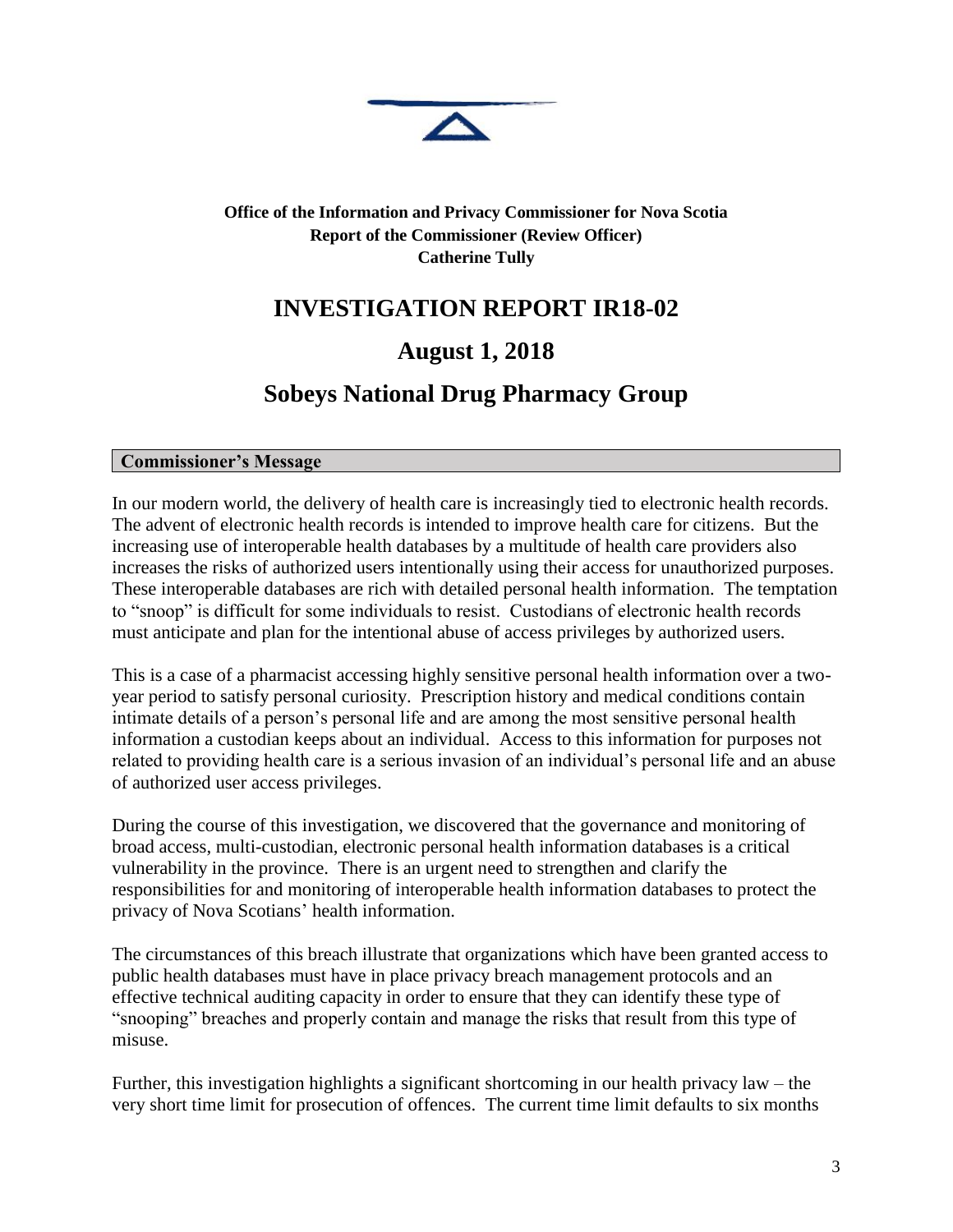

#### **Office of the Information and Privacy Commissioner for Nova Scotia Report of the Commissioner (Review Officer) Catherine Tully**

# **INVESTIGATION REPORT IR18-02**

# **August 1, 2018**

# **Sobeys National Drug Pharmacy Group**

#### **Commissioner's Message**

In our modern world, the delivery of health care is increasingly tied to electronic health records. The advent of electronic health records is intended to improve health care for citizens. But the increasing use of interoperable health databases by a multitude of health care providers also increases the risks of authorized users intentionally using their access for unauthorized purposes. These interoperable databases are rich with detailed personal health information. The temptation to "snoop" is difficult for some individuals to resist. Custodians of electronic health records must anticipate and plan for the intentional abuse of access privileges by authorized users.

This is a case of a pharmacist accessing highly sensitive personal health information over a twoyear period to satisfy personal curiosity. Prescription history and medical conditions contain intimate details of a person's personal life and are among the most sensitive personal health information a custodian keeps about an individual. Access to this information for purposes not related to providing health care is a serious invasion of an individual's personal life and an abuse of authorized user access privileges.

During the course of this investigation, we discovered that the governance and monitoring of broad access, multi-custodian, electronic personal health information databases is a critical vulnerability in the province. There is an urgent need to strengthen and clarify the responsibilities for and monitoring of interoperable health information databases to protect the privacy of Nova Scotians' health information.

The circumstances of this breach illustrate that organizations which have been granted access to public health databases must have in place privacy breach management protocols and an effective technical auditing capacity in order to ensure that they can identify these type of "snooping" breaches and properly contain and manage the risks that result from this type of misuse.

Further, this investigation highlights a significant shortcoming in our health privacy law – the very short time limit for prosecution of offences. The current time limit defaults to six months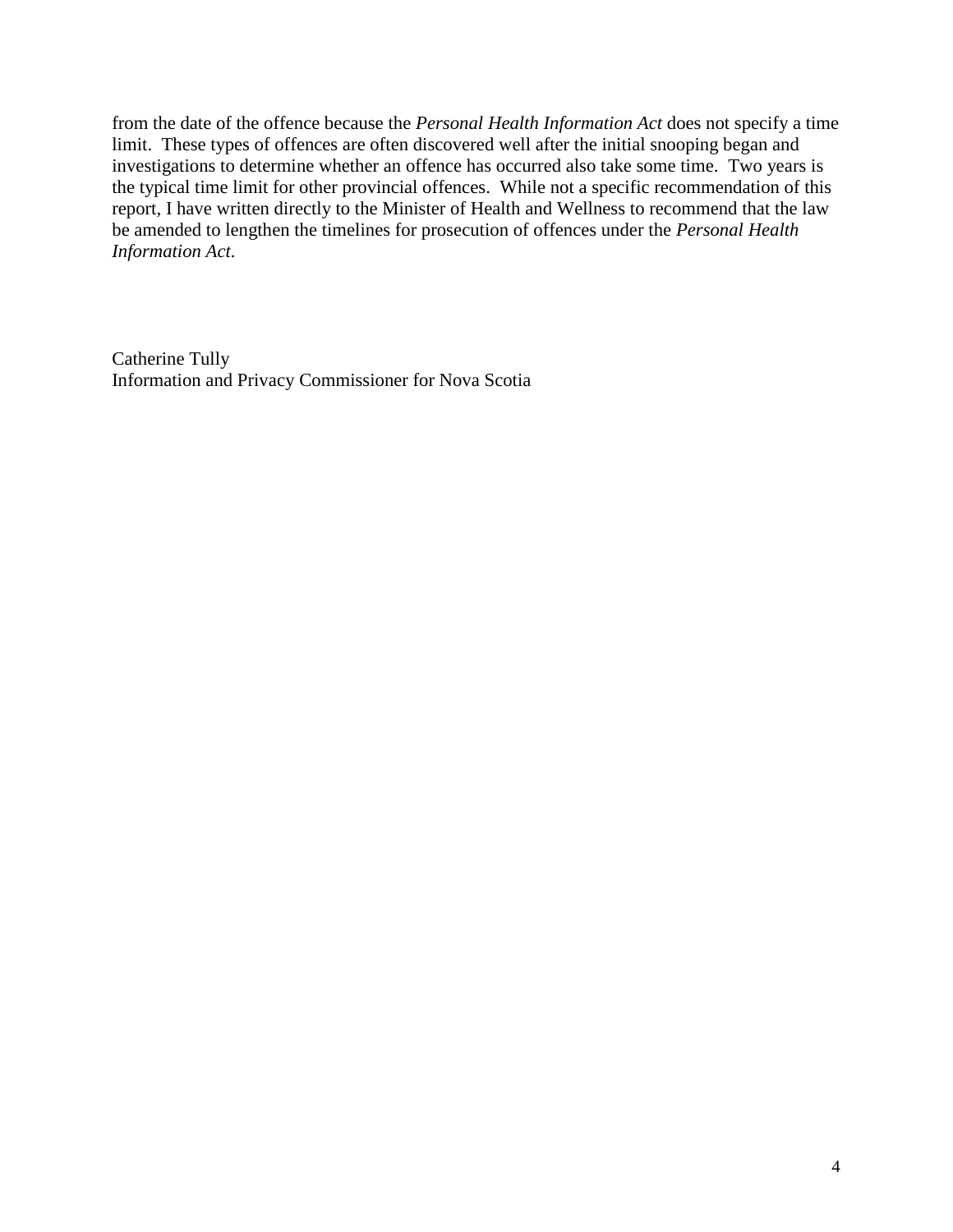from the date of the offence because the *Personal Health Information Act* does not specify a time limit. These types of offences are often discovered well after the initial snooping began and investigations to determine whether an offence has occurred also take some time. Two years is the typical time limit for other provincial offences. While not a specific recommendation of this report, I have written directly to the Minister of Health and Wellness to recommend that the law be amended to lengthen the timelines for prosecution of offences under the *Personal Health Information Act*.

Catherine Tully Information and Privacy Commissioner for Nova Scotia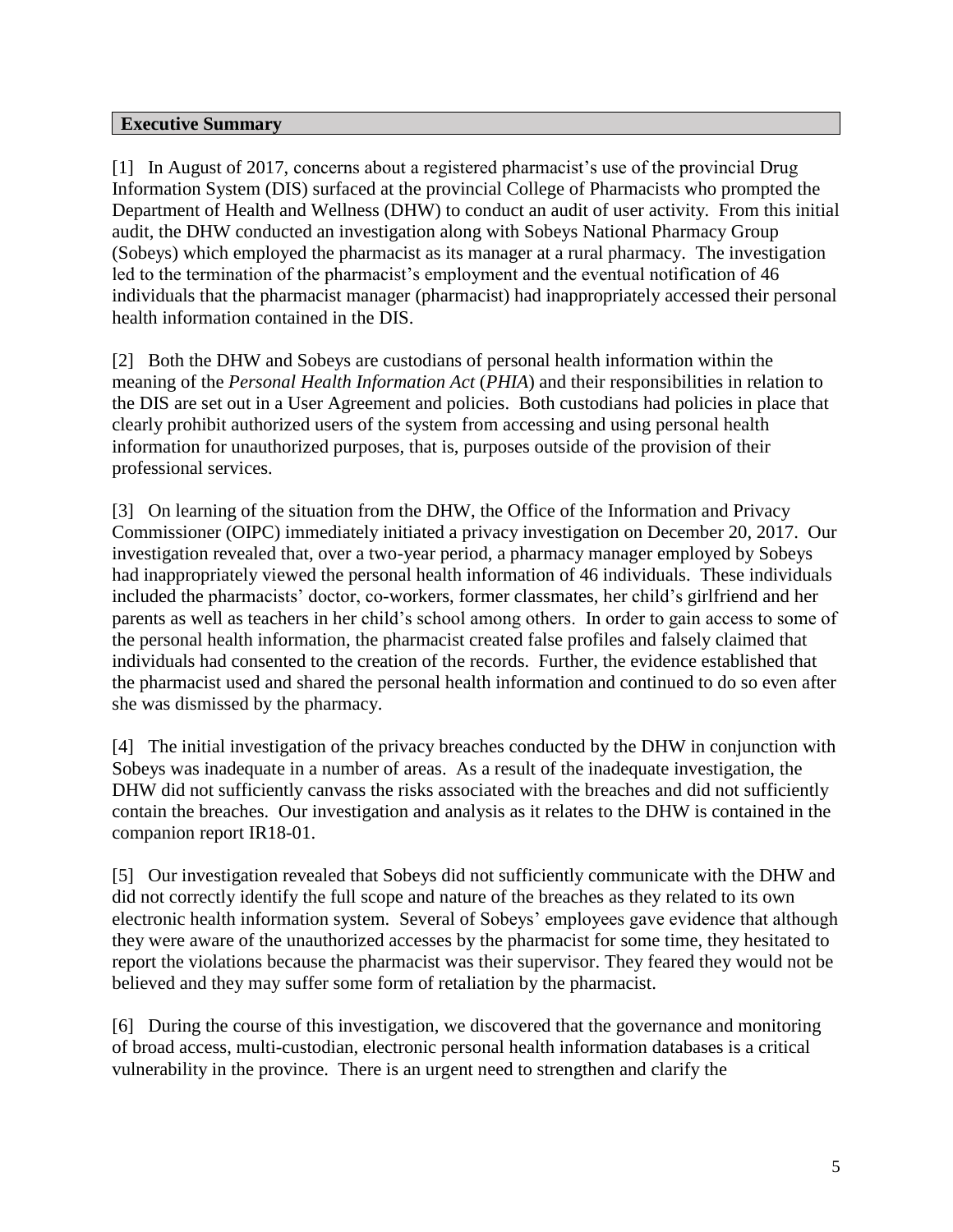#### **Executive Summary**

[1] In August of 2017, concerns about a registered pharmacist's use of the provincial Drug Information System (DIS) surfaced at the provincial College of Pharmacists who prompted the Department of Health and Wellness (DHW) to conduct an audit of user activity. From this initial audit, the DHW conducted an investigation along with Sobeys National Pharmacy Group (Sobeys) which employed the pharmacist as its manager at a rural pharmacy. The investigation led to the termination of the pharmacist's employment and the eventual notification of 46 individuals that the pharmacist manager (pharmacist) had inappropriately accessed their personal health information contained in the DIS.

[2] Both the DHW and Sobeys are custodians of personal health information within the meaning of the *Personal Health Information Act* (*PHIA*) and their responsibilities in relation to the DIS are set out in a User Agreement and policies. Both custodians had policies in place that clearly prohibit authorized users of the system from accessing and using personal health information for unauthorized purposes, that is, purposes outside of the provision of their professional services.

[3] On learning of the situation from the DHW, the Office of the Information and Privacy Commissioner (OIPC) immediately initiated a privacy investigation on December 20, 2017. Our investigation revealed that, over a two-year period, a pharmacy manager employed by Sobeys had inappropriately viewed the personal health information of 46 individuals. These individuals included the pharmacists' doctor, co-workers, former classmates, her child's girlfriend and her parents as well as teachers in her child's school among others. In order to gain access to some of the personal health information, the pharmacist created false profiles and falsely claimed that individuals had consented to the creation of the records. Further, the evidence established that the pharmacist used and shared the personal health information and continued to do so even after she was dismissed by the pharmacy.

[4] The initial investigation of the privacy breaches conducted by the DHW in conjunction with Sobeys was inadequate in a number of areas. As a result of the inadequate investigation, the DHW did not sufficiently canvass the risks associated with the breaches and did not sufficiently contain the breaches. Our investigation and analysis as it relates to the DHW is contained in the companion report IR18-01.

[5] Our investigation revealed that Sobeys did not sufficiently communicate with the DHW and did not correctly identify the full scope and nature of the breaches as they related to its own electronic health information system. Several of Sobeys' employees gave evidence that although they were aware of the unauthorized accesses by the pharmacist for some time, they hesitated to report the violations because the pharmacist was their supervisor. They feared they would not be believed and they may suffer some form of retaliation by the pharmacist.

[6] During the course of this investigation, we discovered that the governance and monitoring of broad access, multi-custodian, electronic personal health information databases is a critical vulnerability in the province. There is an urgent need to strengthen and clarify the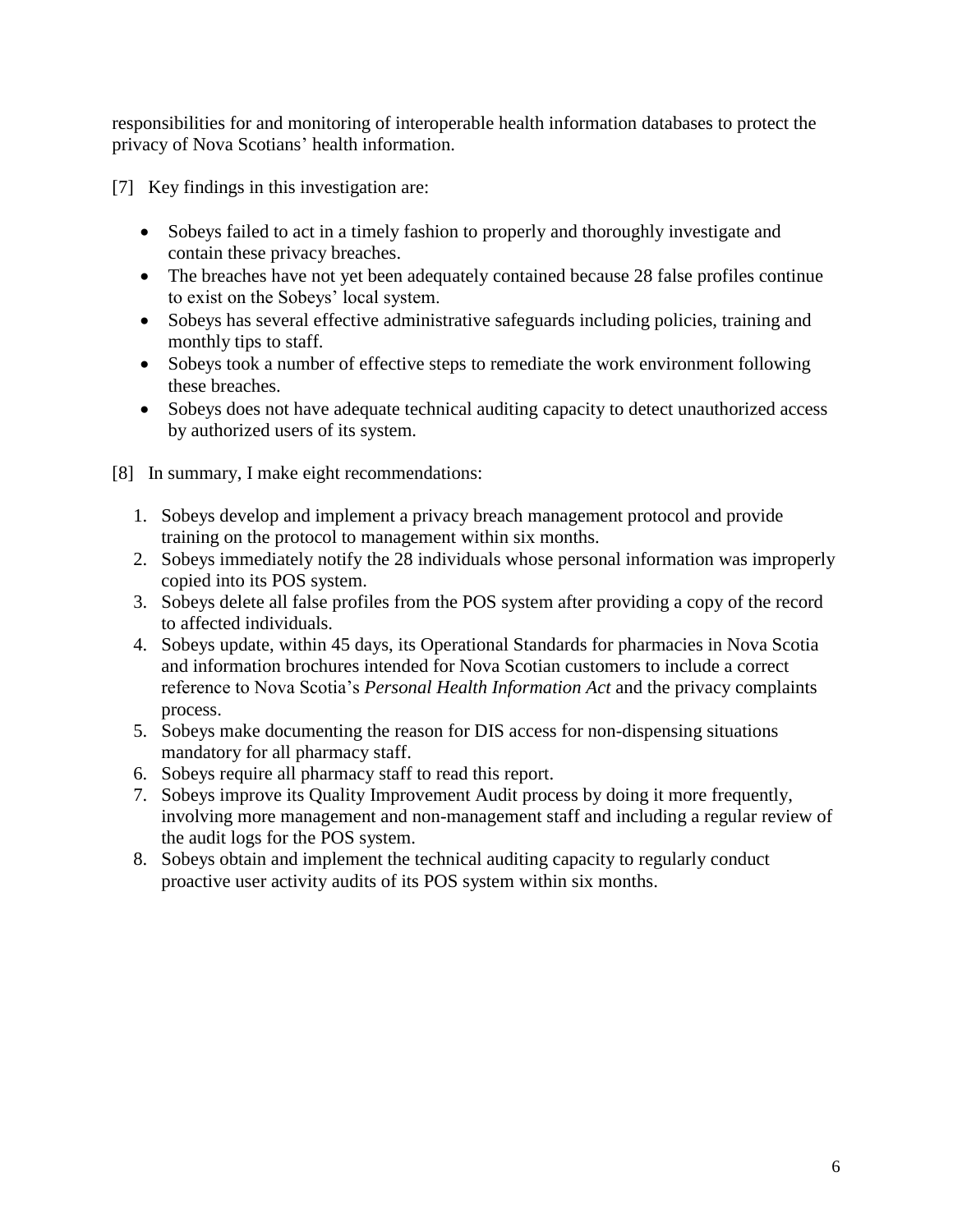responsibilities for and monitoring of interoperable health information databases to protect the privacy of Nova Scotians' health information.

[7] Key findings in this investigation are:

- Sobeys failed to act in a timely fashion to properly and thoroughly investigate and contain these privacy breaches.
- The breaches have not yet been adequately contained because 28 false profiles continue to exist on the Sobeys' local system.
- Sobeys has several effective administrative safeguards including policies, training and monthly tips to staff.
- Sobeys took a number of effective steps to remediate the work environment following these breaches.
- Sobeys does not have adequate technical auditing capacity to detect unauthorized access by authorized users of its system.
- [8] In summary, I make eight recommendations:
	- 1. Sobeys develop and implement a privacy breach management protocol and provide training on the protocol to management within six months.
	- 2. Sobeys immediately notify the 28 individuals whose personal information was improperly copied into its POS system.
	- 3. Sobeys delete all false profiles from the POS system after providing a copy of the record to affected individuals.
	- 4. Sobeys update, within 45 days, its Operational Standards for pharmacies in Nova Scotia and information brochures intended for Nova Scotian customers to include a correct reference to Nova Scotia's *Personal Health Information Act* and the privacy complaints process.
	- 5. Sobeys make documenting the reason for DIS access for non-dispensing situations mandatory for all pharmacy staff.
	- 6. Sobeys require all pharmacy staff to read this report.
	- 7. Sobeys improve its Quality Improvement Audit process by doing it more frequently, involving more management and non-management staff and including a regular review of the audit logs for the POS system.
	- 8. Sobeys obtain and implement the technical auditing capacity to regularly conduct proactive user activity audits of its POS system within six months.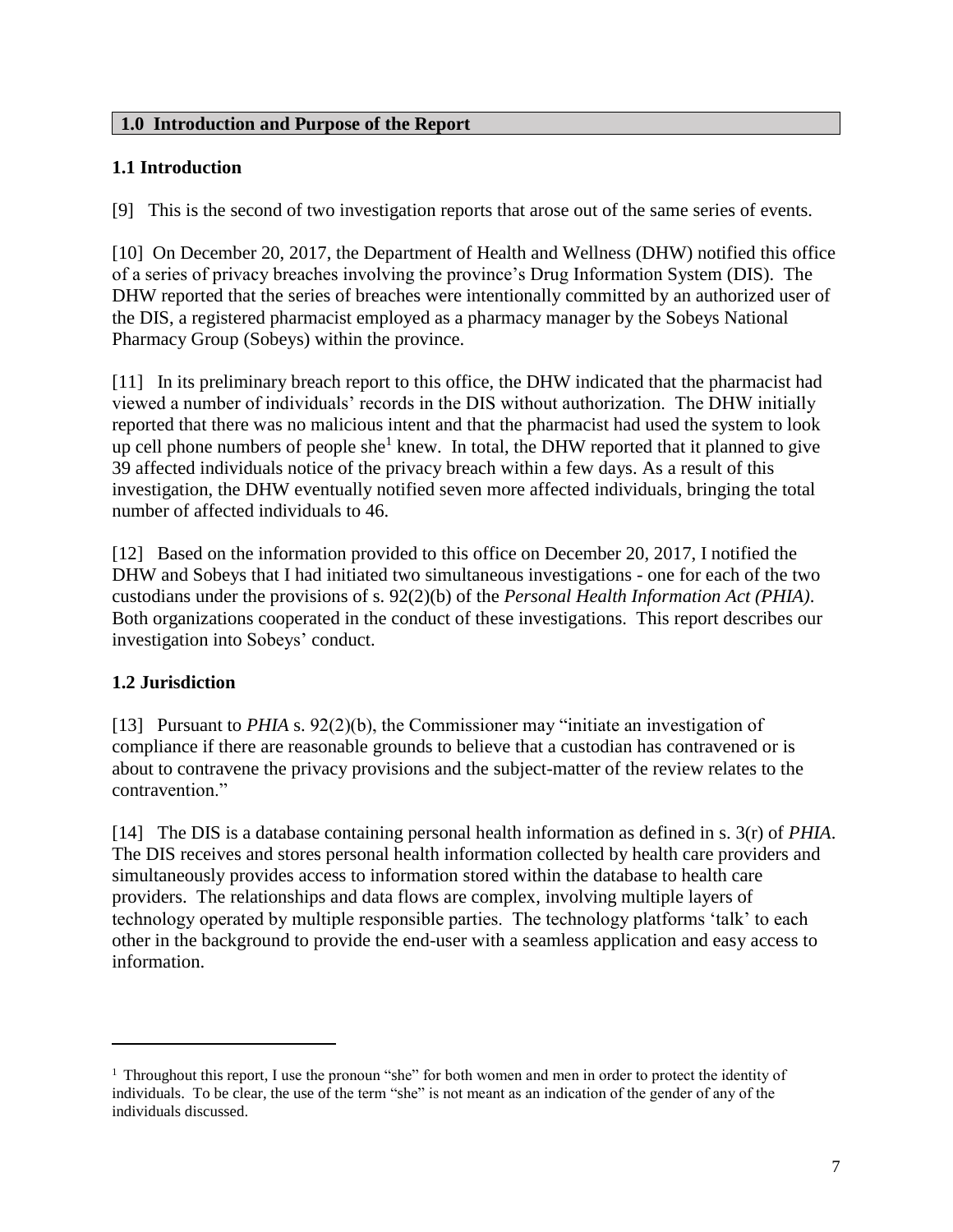#### **1.0 Introduction and Purpose of the Report**

#### **1.1 Introduction**

[9] This is the second of two investigation reports that arose out of the same series of events.

[10] On December 20, 2017, the Department of Health and Wellness (DHW) notified this office of a series of privacy breaches involving the province's Drug Information System (DIS). The DHW reported that the series of breaches were intentionally committed by an authorized user of the DIS, a registered pharmacist employed as a pharmacy manager by the Sobeys National Pharmacy Group (Sobeys) within the province.

[11] In its preliminary breach report to this office, the DHW indicated that the pharmacist had viewed a number of individuals' records in the DIS without authorization. The DHW initially reported that there was no malicious intent and that the pharmacist had used the system to look up cell phone numbers of people she<sup>1</sup> knew. In total, the DHW reported that it planned to give 39 affected individuals notice of the privacy breach within a few days. As a result of this investigation, the DHW eventually notified seven more affected individuals, bringing the total number of affected individuals to 46.

[12] Based on the information provided to this office on December 20, 2017, I notified the DHW and Sobeys that I had initiated two simultaneous investigations - one for each of the two custodians under the provisions of s. 92(2)(b) of the *Personal Health Information Act (PHIA)*. Both organizations cooperated in the conduct of these investigations. This report describes our investigation into Sobeys' conduct.

#### **1.2 Jurisdiction**

 $\overline{a}$ 

[13] Pursuant to *PHIA* s. 92(2)(b), the Commissioner may "initiate an investigation of compliance if there are reasonable grounds to believe that a custodian has contravened or is about to contravene the privacy provisions and the subject-matter of the review relates to the contravention<sup>"</sup>

[14] The DIS is a database containing personal health information as defined in s. 3(r) of *PHIA*. The DIS receives and stores personal health information collected by health care providers and simultaneously provides access to information stored within the database to health care providers. The relationships and data flows are complex, involving multiple layers of technology operated by multiple responsible parties. The technology platforms 'talk' to each other in the background to provide the end-user with a seamless application and easy access to information.

<sup>1</sup> Throughout this report, I use the pronoun "she" for both women and men in order to protect the identity of individuals. To be clear, the use of the term "she" is not meant as an indication of the gender of any of the individuals discussed.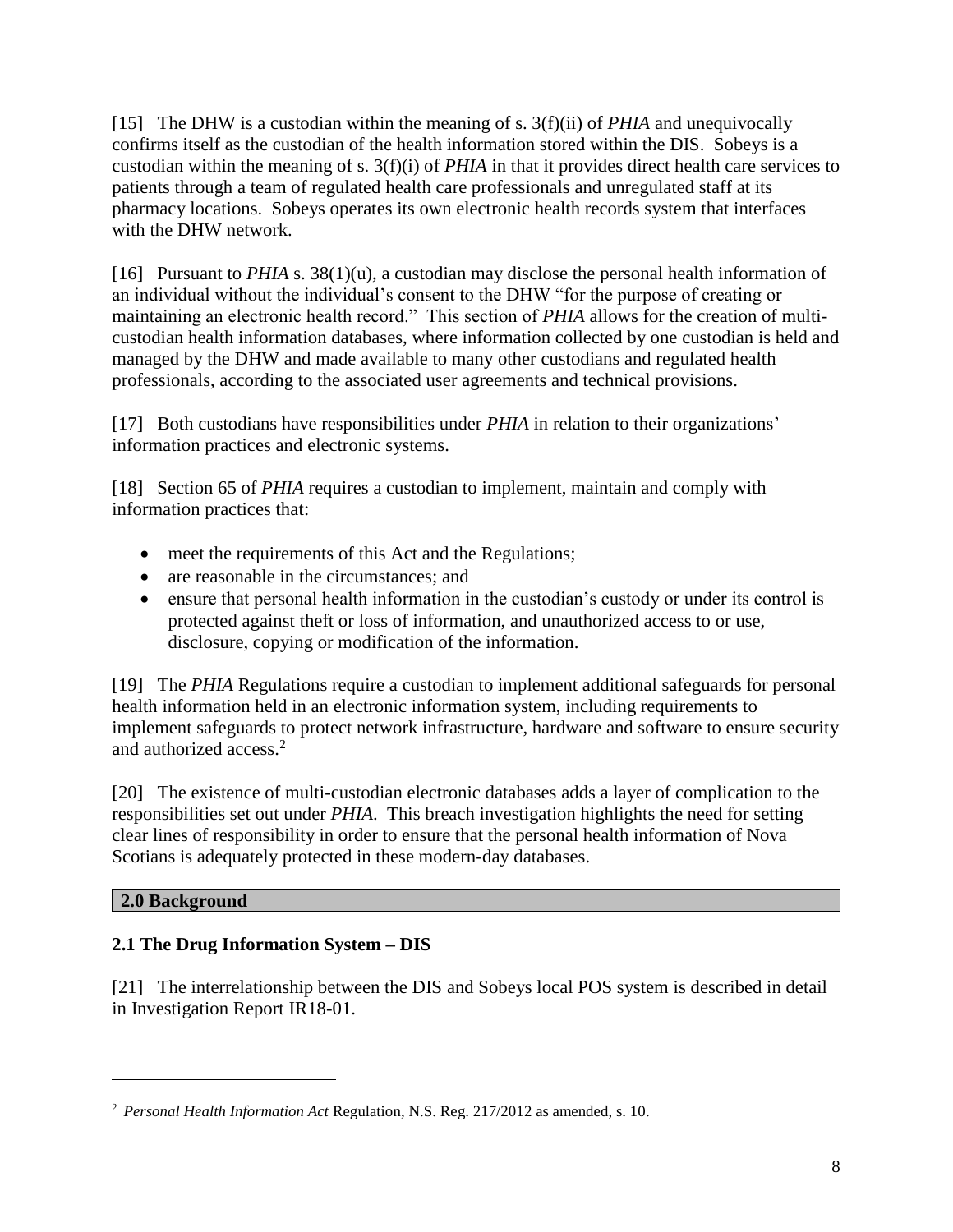[15] The DHW is a custodian within the meaning of s. 3(f)(ii) of *PHIA* and unequivocally confirms itself as the custodian of the health information stored within the DIS. Sobeys is a custodian within the meaning of s. 3(f)(i) of *PHIA* in that it provides direct health care services to patients through a team of regulated health care professionals and unregulated staff at its pharmacy locations. Sobeys operates its own electronic health records system that interfaces with the DHW network.

[16] Pursuant to *PHIA* s. 38(1)(u), a custodian may disclose the personal health information of an individual without the individual's consent to the DHW "for the purpose of creating or maintaining an electronic health record." This section of *PHIA* allows for the creation of multicustodian health information databases, where information collected by one custodian is held and managed by the DHW and made available to many other custodians and regulated health professionals, according to the associated user agreements and technical provisions.

[17] Both custodians have responsibilities under *PHIA* in relation to their organizations' information practices and electronic systems.

[18] Section 65 of *PHIA* requires a custodian to implement, maintain and comply with information practices that:

- meet the requirements of this Act and the Regulations;
- are reasonable in the circumstances; and
- ensure that personal health information in the custodian's custody or under its control is protected against theft or loss of information, and unauthorized access to or use, disclosure, copying or modification of the information.

[19] The *PHIA* Regulations require a custodian to implement additional safeguards for personal health information held in an electronic information system, including requirements to implement safeguards to protect network infrastructure, hardware and software to ensure security and authorized access. 2

[20] The existence of multi-custodian electronic databases adds a layer of complication to the responsibilities set out under *PHIA*. This breach investigation highlights the need for setting clear lines of responsibility in order to ensure that the personal health information of Nova Scotians is adequately protected in these modern-day databases.

# **2.0 Background**

 $\overline{\phantom{a}}$ 

# **2.1 The Drug Information System – DIS**

[21] The interrelationship between the DIS and Sobeys local POS system is described in detail in Investigation Report IR18-01.

<sup>2</sup> *Personal Health Information Act* Regulation, N.S. Reg. 217/2012 as amended, s. 10.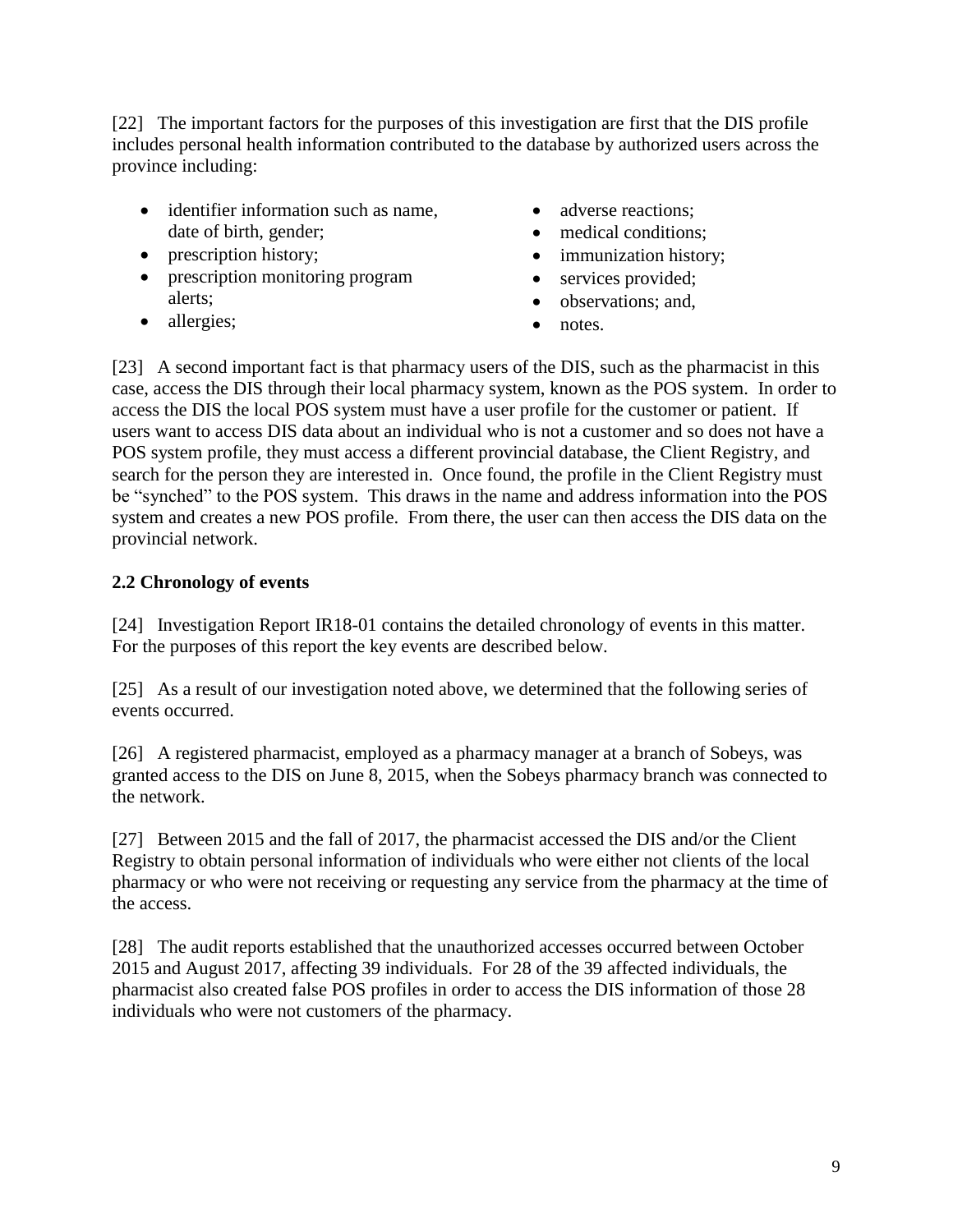[22] The important factors for the purposes of this investigation are first that the DIS profile includes personal health information contributed to the database by authorized users across the province including:

- identifier information such as name. date of birth, gender;
- prescription history;
- prescription monitoring program alerts;
- allergies;
- adverse reactions:
- medical conditions:
- immunization history;
- services provided;
- observations; and,
- notes.

[23] A second important fact is that pharmacy users of the DIS, such as the pharmacist in this case, access the DIS through their local pharmacy system, known as the POS system. In order to access the DIS the local POS system must have a user profile for the customer or patient. If users want to access DIS data about an individual who is not a customer and so does not have a POS system profile, they must access a different provincial database, the Client Registry, and search for the person they are interested in. Once found, the profile in the Client Registry must be "synched" to the POS system. This draws in the name and address information into the POS system and creates a new POS profile. From there, the user can then access the DIS data on the provincial network.

# **2.2 Chronology of events**

[24] Investigation Report IR18-01 contains the detailed chronology of events in this matter. For the purposes of this report the key events are described below.

[25] As a result of our investigation noted above, we determined that the following series of events occurred.

[26] A registered pharmacist, employed as a pharmacy manager at a branch of Sobeys, was granted access to the DIS on June 8, 2015, when the Sobeys pharmacy branch was connected to the network.

[27] Between 2015 and the fall of 2017, the pharmacist accessed the DIS and/or the Client Registry to obtain personal information of individuals who were either not clients of the local pharmacy or who were not receiving or requesting any service from the pharmacy at the time of the access.

[28] The audit reports established that the unauthorized accesses occurred between October 2015 and August 2017, affecting 39 individuals. For 28 of the 39 affected individuals, the pharmacist also created false POS profiles in order to access the DIS information of those 28 individuals who were not customers of the pharmacy.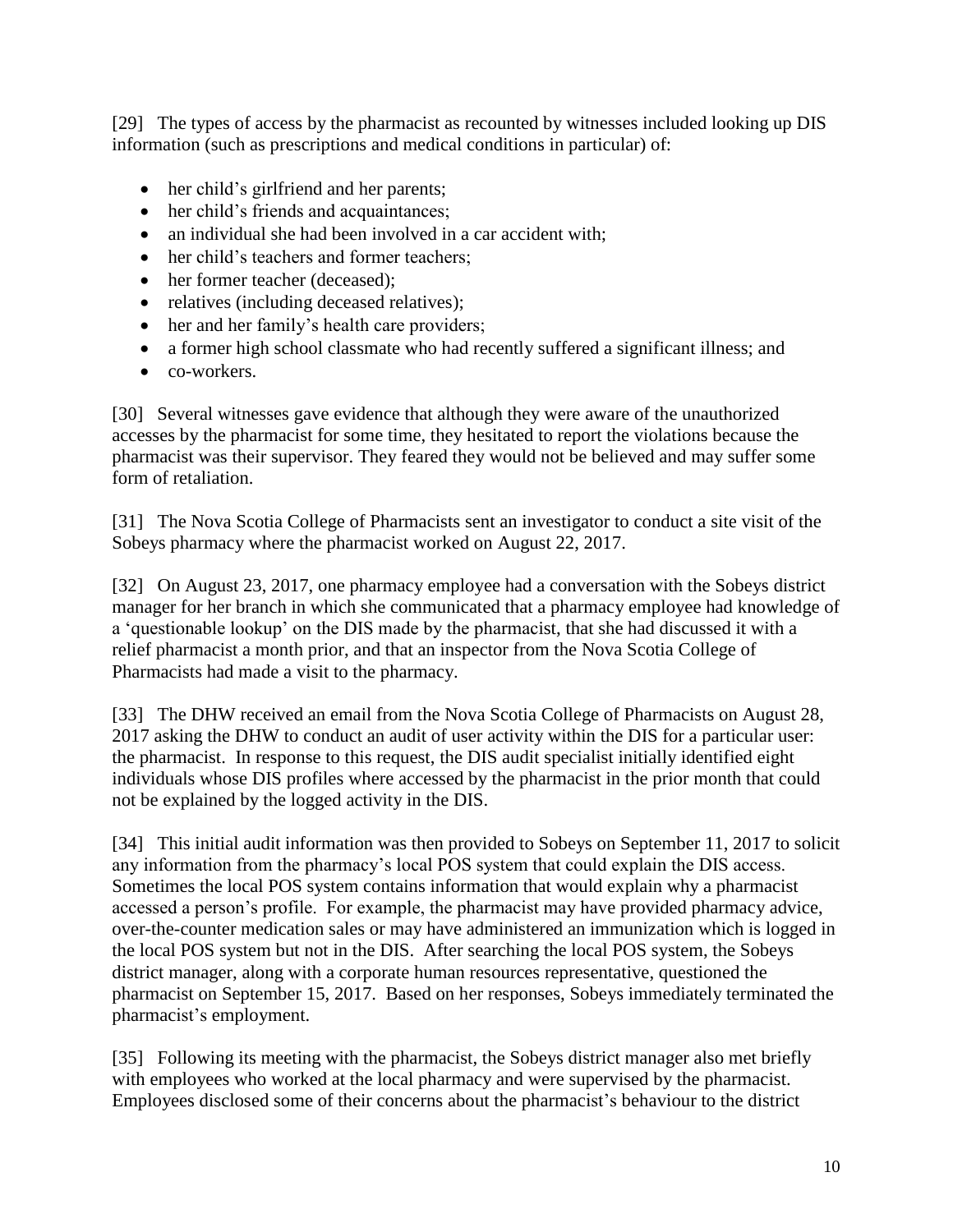[29] The types of access by the pharmacist as recounted by witnesses included looking up DIS information (such as prescriptions and medical conditions in particular) of:

- her child's girlfriend and her parents;
- her child's friends and acquaintances;
- an individual she had been involved in a car accident with;
- her child's teachers and former teachers;
- her former teacher (deceased);
- relatives (including deceased relatives);
- her and her family's health care providers;
- a former high school classmate who had recently suffered a significant illness; and
- co-workers.

[30] Several witnesses gave evidence that although they were aware of the unauthorized accesses by the pharmacist for some time, they hesitated to report the violations because the pharmacist was their supervisor. They feared they would not be believed and may suffer some form of retaliation.

[31] The Nova Scotia College of Pharmacists sent an investigator to conduct a site visit of the Sobeys pharmacy where the pharmacist worked on August 22, 2017.

[32] On August 23, 2017, one pharmacy employee had a conversation with the Sobeys district manager for her branch in which she communicated that a pharmacy employee had knowledge of a 'questionable lookup' on the DIS made by the pharmacist, that she had discussed it with a relief pharmacist a month prior, and that an inspector from the Nova Scotia College of Pharmacists had made a visit to the pharmacy.

[33] The DHW received an email from the Nova Scotia College of Pharmacists on August 28, 2017 asking the DHW to conduct an audit of user activity within the DIS for a particular user: the pharmacist. In response to this request, the DIS audit specialist initially identified eight individuals whose DIS profiles where accessed by the pharmacist in the prior month that could not be explained by the logged activity in the DIS.

[34] This initial audit information was then provided to Sobeys on September 11, 2017 to solicit any information from the pharmacy's local POS system that could explain the DIS access. Sometimes the local POS system contains information that would explain why a pharmacist accessed a person's profile. For example, the pharmacist may have provided pharmacy advice, over-the-counter medication sales or may have administered an immunization which is logged in the local POS system but not in the DIS. After searching the local POS system, the Sobeys district manager, along with a corporate human resources representative, questioned the pharmacist on September 15, 2017. Based on her responses, Sobeys immediately terminated the pharmacist's employment.

[35] Following its meeting with the pharmacist, the Sobeys district manager also met briefly with employees who worked at the local pharmacy and were supervised by the pharmacist. Employees disclosed some of their concerns about the pharmacist's behaviour to the district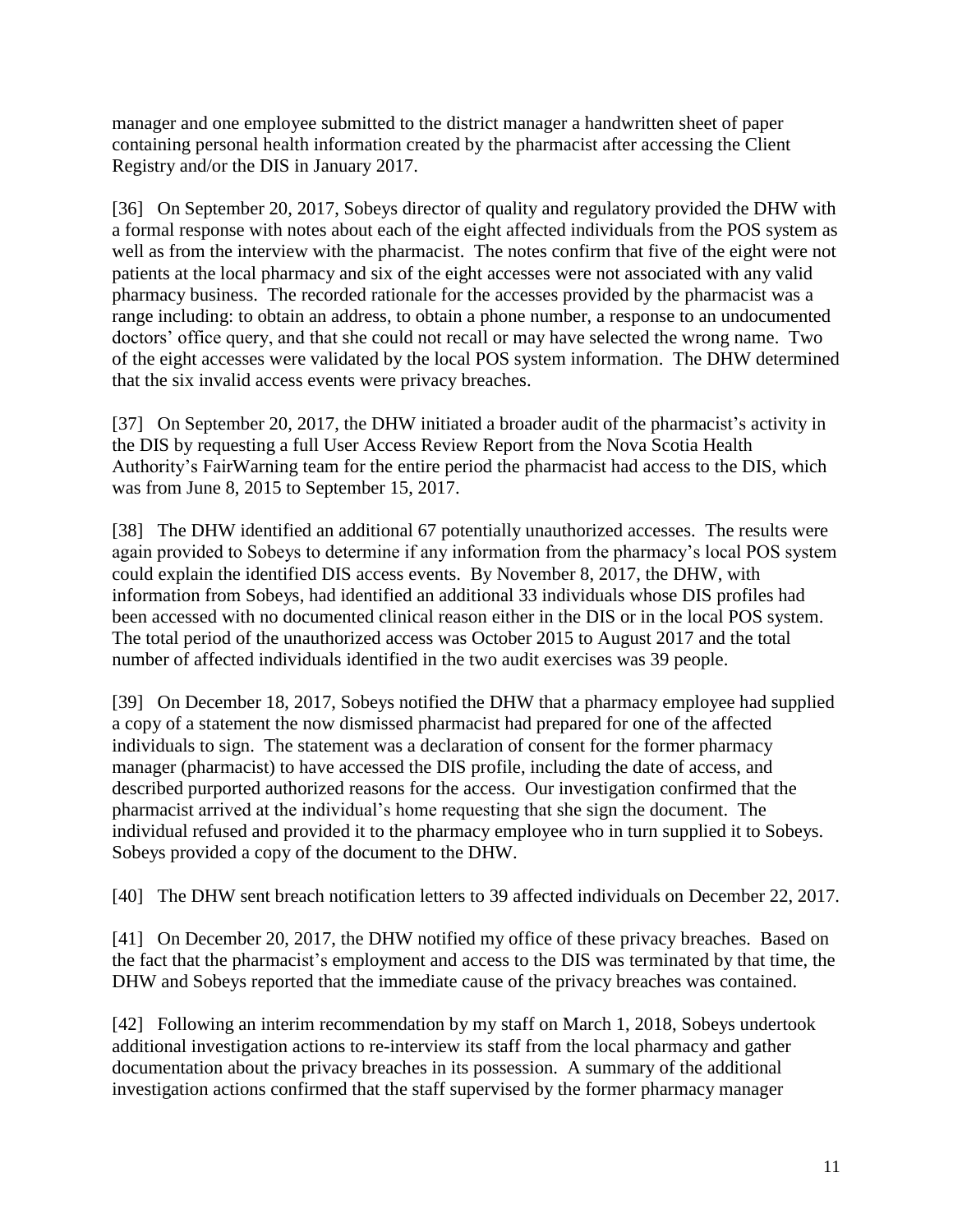manager and one employee submitted to the district manager a handwritten sheet of paper containing personal health information created by the pharmacist after accessing the Client Registry and/or the DIS in January 2017.

[36] On September 20, 2017, Sobeys director of quality and regulatory provided the DHW with a formal response with notes about each of the eight affected individuals from the POS system as well as from the interview with the pharmacist. The notes confirm that five of the eight were not patients at the local pharmacy and six of the eight accesses were not associated with any valid pharmacy business. The recorded rationale for the accesses provided by the pharmacist was a range including: to obtain an address, to obtain a phone number, a response to an undocumented doctors' office query, and that she could not recall or may have selected the wrong name. Two of the eight accesses were validated by the local POS system information. The DHW determined that the six invalid access events were privacy breaches.

[37] On September 20, 2017, the DHW initiated a broader audit of the pharmacist's activity in the DIS by requesting a full User Access Review Report from the Nova Scotia Health Authority's FairWarning team for the entire period the pharmacist had access to the DIS, which was from June 8, 2015 to September 15, 2017.

[38] The DHW identified an additional 67 potentially unauthorized accesses. The results were again provided to Sobeys to determine if any information from the pharmacy's local POS system could explain the identified DIS access events. By November 8, 2017, the DHW, with information from Sobeys, had identified an additional 33 individuals whose DIS profiles had been accessed with no documented clinical reason either in the DIS or in the local POS system. The total period of the unauthorized access was October 2015 to August 2017 and the total number of affected individuals identified in the two audit exercises was 39 people.

[39] On December 18, 2017, Sobeys notified the DHW that a pharmacy employee had supplied a copy of a statement the now dismissed pharmacist had prepared for one of the affected individuals to sign. The statement was a declaration of consent for the former pharmacy manager (pharmacist) to have accessed the DIS profile, including the date of access, and described purported authorized reasons for the access. Our investigation confirmed that the pharmacist arrived at the individual's home requesting that she sign the document. The individual refused and provided it to the pharmacy employee who in turn supplied it to Sobeys. Sobeys provided a copy of the document to the DHW.

[40] The DHW sent breach notification letters to 39 affected individuals on December 22, 2017.

[41] On December 20, 2017, the DHW notified my office of these privacy breaches. Based on the fact that the pharmacist's employment and access to the DIS was terminated by that time, the DHW and Sobeys reported that the immediate cause of the privacy breaches was contained.

[42] Following an interim recommendation by my staff on March 1, 2018, Sobeys undertook additional investigation actions to re-interview its staff from the local pharmacy and gather documentation about the privacy breaches in its possession. A summary of the additional investigation actions confirmed that the staff supervised by the former pharmacy manager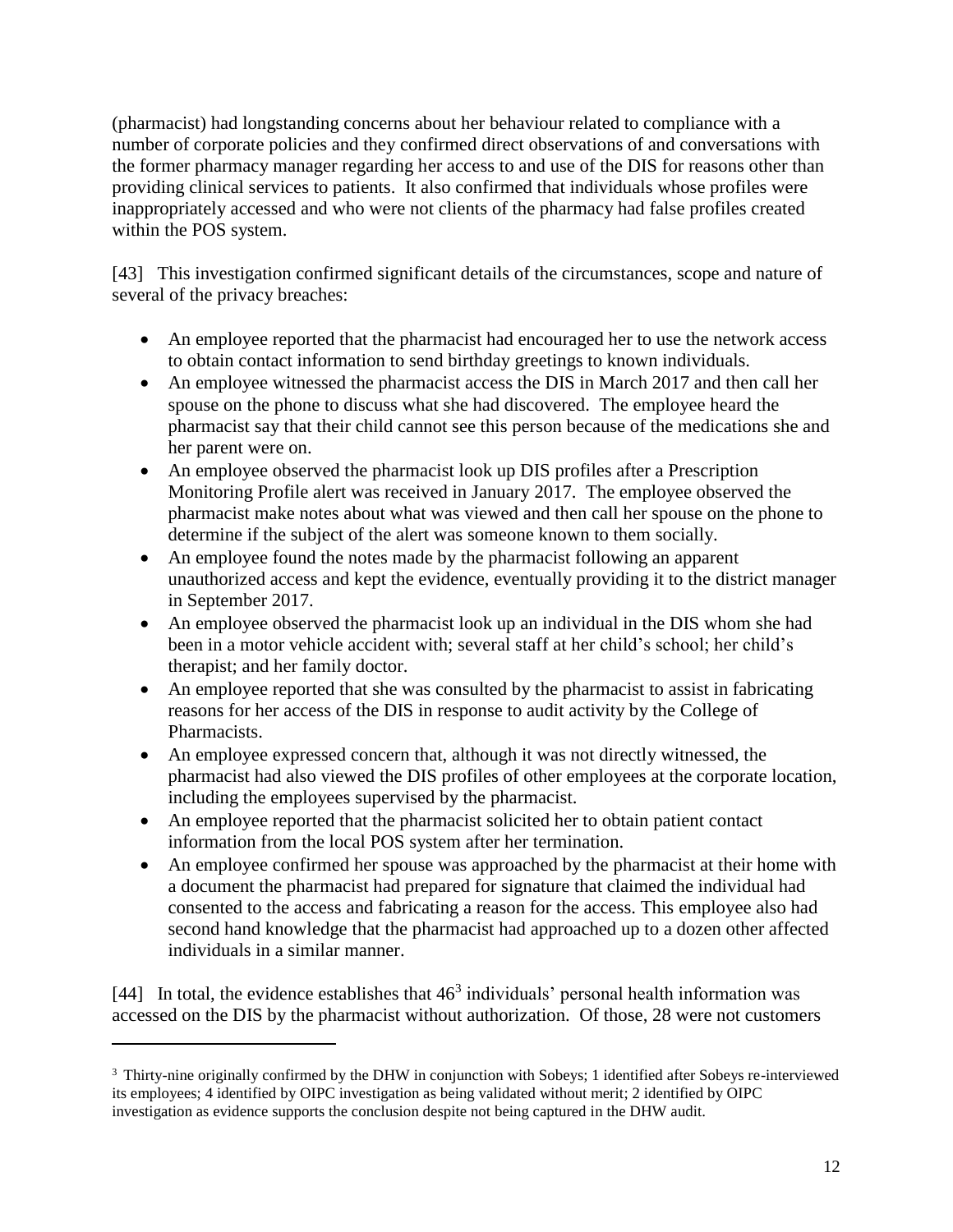(pharmacist) had longstanding concerns about her behaviour related to compliance with a number of corporate policies and they confirmed direct observations of and conversations with the former pharmacy manager regarding her access to and use of the DIS for reasons other than providing clinical services to patients. It also confirmed that individuals whose profiles were inappropriately accessed and who were not clients of the pharmacy had false profiles created within the POS system.

[43] This investigation confirmed significant details of the circumstances, scope and nature of several of the privacy breaches:

- An employee reported that the pharmacist had encouraged her to use the network access to obtain contact information to send birthday greetings to known individuals.
- An employee witnessed the pharmacist access the DIS in March 2017 and then call her spouse on the phone to discuss what she had discovered. The employee heard the pharmacist say that their child cannot see this person because of the medications she and her parent were on.
- An employee observed the pharmacist look up DIS profiles after a Prescription Monitoring Profile alert was received in January 2017. The employee observed the pharmacist make notes about what was viewed and then call her spouse on the phone to determine if the subject of the alert was someone known to them socially.
- An employee found the notes made by the pharmacist following an apparent unauthorized access and kept the evidence, eventually providing it to the district manager in September 2017.
- An employee observed the pharmacist look up an individual in the DIS whom she had been in a motor vehicle accident with; several staff at her child's school; her child's therapist; and her family doctor.
- An employee reported that she was consulted by the pharmacist to assist in fabricating reasons for her access of the DIS in response to audit activity by the College of Pharmacists.
- An employee expressed concern that, although it was not directly witnessed, the pharmacist had also viewed the DIS profiles of other employees at the corporate location, including the employees supervised by the pharmacist.
- An employee reported that the pharmacist solicited her to obtain patient contact information from the local POS system after her termination.
- An employee confirmed her spouse was approached by the pharmacist at their home with a document the pharmacist had prepared for signature that claimed the individual had consented to the access and fabricating a reason for the access. This employee also had second hand knowledge that the pharmacist had approached up to a dozen other affected individuals in a similar manner.

[44] In total, the evidence establishes that  $46<sup>3</sup>$  individuals' personal health information was accessed on the DIS by the pharmacist without authorization. Of those, 28 were not customers

 $\overline{a}$ 

<sup>3</sup> Thirty-nine originally confirmed by the DHW in conjunction with Sobeys; 1 identified after Sobeys re-interviewed its employees; 4 identified by OIPC investigation as being validated without merit; 2 identified by OIPC investigation as evidence supports the conclusion despite not being captured in the DHW audit.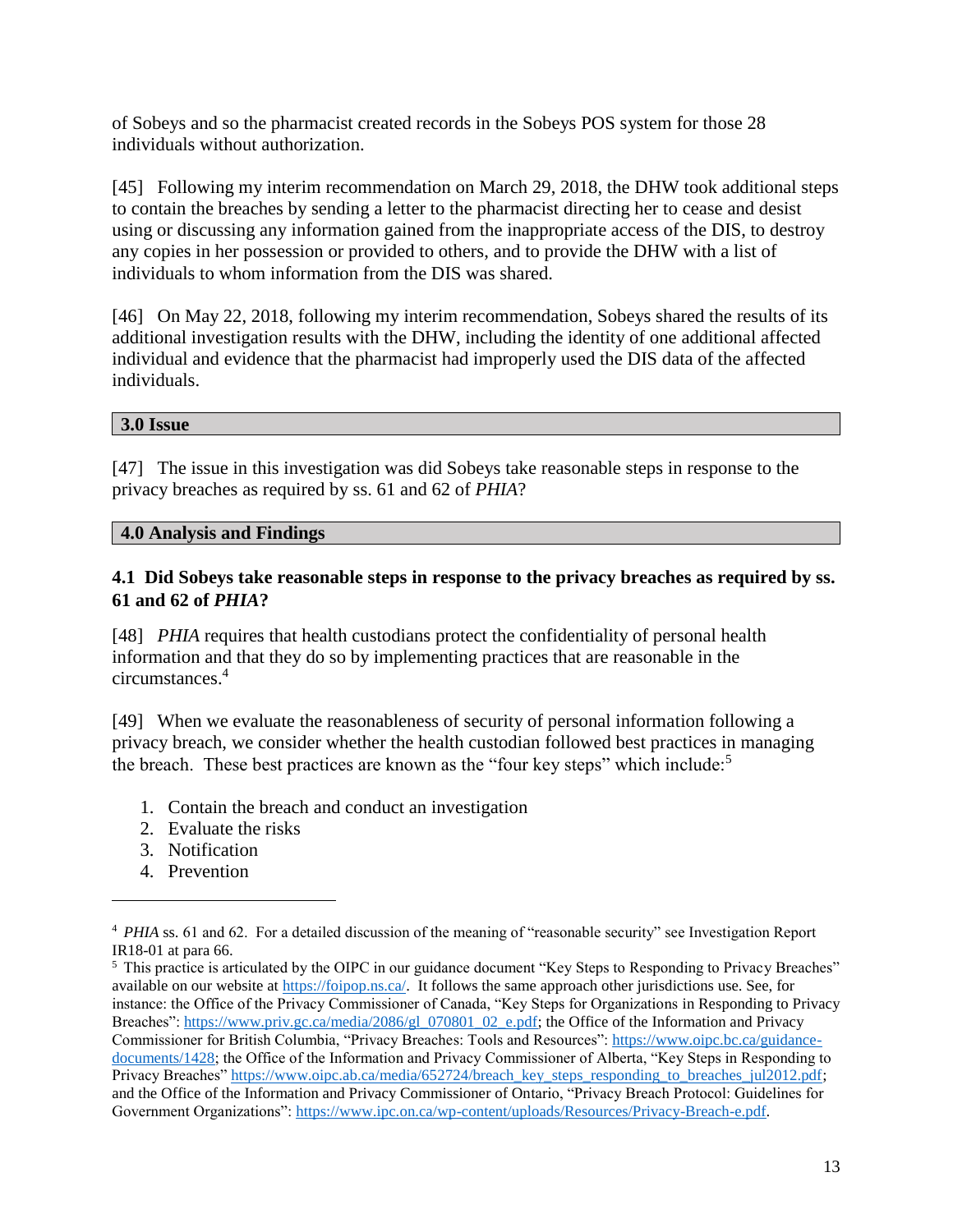of Sobeys and so the pharmacist created records in the Sobeys POS system for those 28 individuals without authorization.

[45] Following my interim recommendation on March 29, 2018, the DHW took additional steps to contain the breaches by sending a letter to the pharmacist directing her to cease and desist using or discussing any information gained from the inappropriate access of the DIS, to destroy any copies in her possession or provided to others, and to provide the DHW with a list of individuals to whom information from the DIS was shared.

[46] On May 22, 2018, following my interim recommendation, Sobeys shared the results of its additional investigation results with the DHW, including the identity of one additional affected individual and evidence that the pharmacist had improperly used the DIS data of the affected individuals.

#### **3.0 Issue**

[47] The issue in this investigation was did Sobeys take reasonable steps in response to the privacy breaches as required by ss. 61 and 62 of *PHIA*?

#### **4.0 Analysis and Findings**

#### **4.1 Did Sobeys take reasonable steps in response to the privacy breaches as required by ss. 61 and 62 of** *PHIA***?**

[48] *PHIA* requires that health custodians protect the confidentiality of personal health information and that they do so by implementing practices that are reasonable in the circumstances. 4

[49] When we evaluate the reasonableness of security of personal information following a privacy breach, we consider whether the health custodian followed best practices in managing the breach. These best practices are known as the "four key steps" which include:<sup>5</sup>

- 1. Contain the breach and conduct an investigation
- 2. Evaluate the risks
- 3. Notification
- 4. Prevention

 $\overline{\phantom{a}}$ 

<sup>&</sup>lt;sup>4</sup> *PHIA* ss. 61 and 62. For a detailed discussion of the meaning of "reasonable security" see Investigation Report IR18-01 at para 66.

<sup>&</sup>lt;sup>5</sup> This practice is articulated by the OIPC in our guidance document "Key Steps to Responding to Privacy Breaches" available on our website at [https://foipop.ns.ca/.](https://foipop.ns.ca/) It follows the same approach other jurisdictions use. See, for instance: the Office of the Privacy Commissioner of Canada, "Key Steps for Organizations in Responding to Privacy Breaches": [https://www.priv.gc.ca/media/2086/gl\\_070801\\_02\\_e.pdf;](https://www.priv.gc.ca/media/2086/gl_070801_02_e.pdf) the Office of the Information and Privacy Commissioner for British Columbia, "Privacy Breaches: Tools and Resources": [https://www.oipc.bc.ca/guidance](https://www.oipc.bc.ca/guidance-documents/1428)[documents/1428;](https://www.oipc.bc.ca/guidance-documents/1428) the Office of the Information and Privacy Commissioner of Alberta, "Key Steps in Responding to Privacy Breaches" [https://www.oipc.ab.ca/media/652724/breach\\_key\\_steps\\_responding\\_to\\_breaches\\_jul2012.pdf;](https://www.oipc.ab.ca/media/652724/breach_key_steps_responding_to_breaches_jul2012.pdf) and the Office of the Information and Privacy Commissioner of Ontario, "Privacy Breach Protocol: Guidelines for Government Organizations": [https://www.ipc.on.ca/wp-content/uploads/Resources/Privacy-Breach-e.pdf.](https://www.ipc.on.ca/wp-content/uploads/Resources/Privacy-Breach-e.pdf)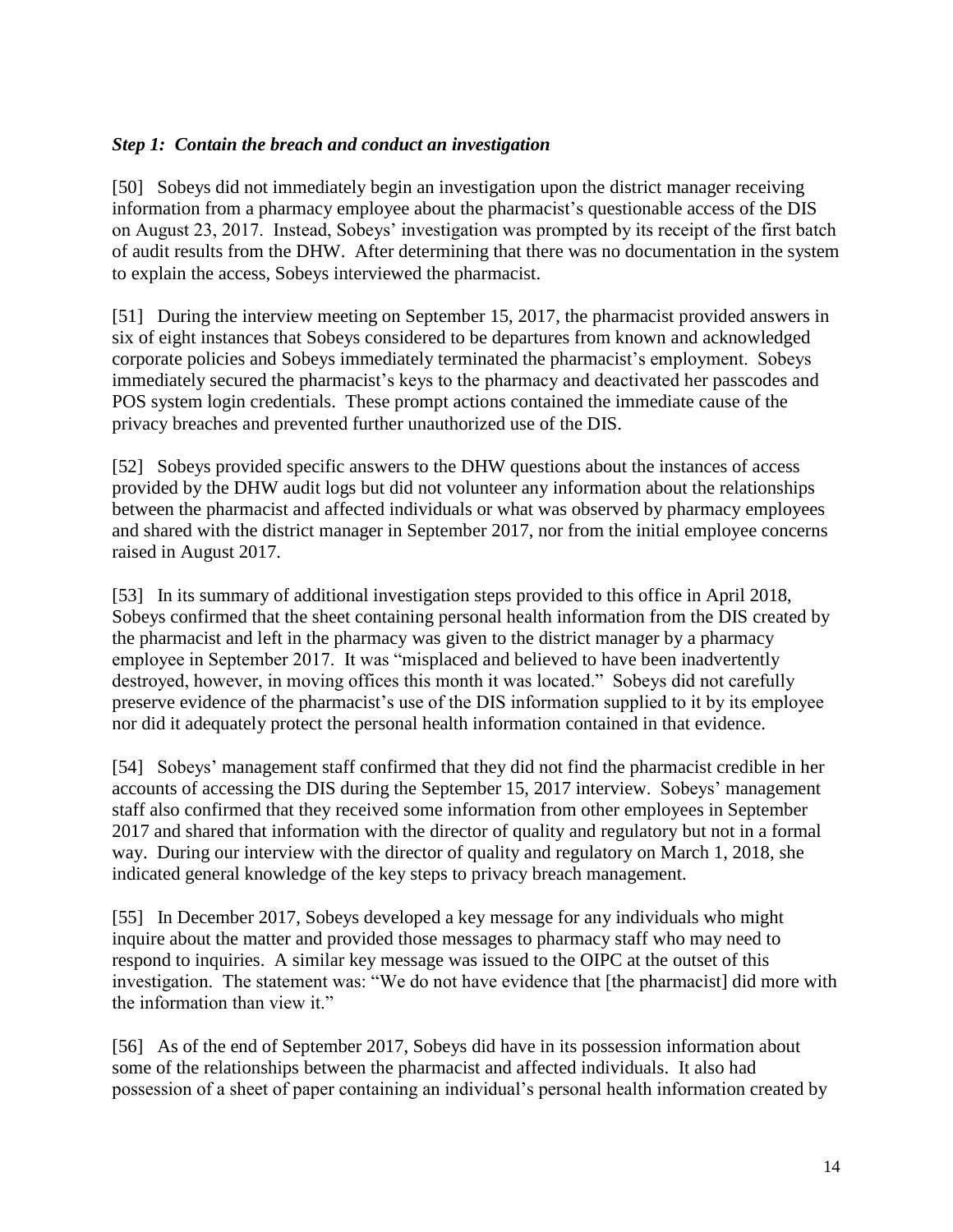#### *Step 1: Contain the breach and conduct an investigation*

[50] Sobeys did not immediately begin an investigation upon the district manager receiving information from a pharmacy employee about the pharmacist's questionable access of the DIS on August 23, 2017. Instead, Sobeys' investigation was prompted by its receipt of the first batch of audit results from the DHW. After determining that there was no documentation in the system to explain the access, Sobeys interviewed the pharmacist.

[51] During the interview meeting on September 15, 2017, the pharmacist provided answers in six of eight instances that Sobeys considered to be departures from known and acknowledged corporate policies and Sobeys immediately terminated the pharmacist's employment. Sobeys immediately secured the pharmacist's keys to the pharmacy and deactivated her passcodes and POS system login credentials. These prompt actions contained the immediate cause of the privacy breaches and prevented further unauthorized use of the DIS.

[52] Sobeys provided specific answers to the DHW questions about the instances of access provided by the DHW audit logs but did not volunteer any information about the relationships between the pharmacist and affected individuals or what was observed by pharmacy employees and shared with the district manager in September 2017, nor from the initial employee concerns raised in August 2017.

[53] In its summary of additional investigation steps provided to this office in April 2018, Sobeys confirmed that the sheet containing personal health information from the DIS created by the pharmacist and left in the pharmacy was given to the district manager by a pharmacy employee in September 2017. It was "misplaced and believed to have been inadvertently destroyed, however, in moving offices this month it was located." Sobeys did not carefully preserve evidence of the pharmacist's use of the DIS information supplied to it by its employee nor did it adequately protect the personal health information contained in that evidence.

[54] Sobeys' management staff confirmed that they did not find the pharmacist credible in her accounts of accessing the DIS during the September 15, 2017 interview. Sobeys' management staff also confirmed that they received some information from other employees in September 2017 and shared that information with the director of quality and regulatory but not in a formal way. During our interview with the director of quality and regulatory on March 1, 2018, she indicated general knowledge of the key steps to privacy breach management.

[55] In December 2017, Sobeys developed a key message for any individuals who might inquire about the matter and provided those messages to pharmacy staff who may need to respond to inquiries. A similar key message was issued to the OIPC at the outset of this investigation. The statement was: "We do not have evidence that [the pharmacist] did more with the information than view it."

[56] As of the end of September 2017, Sobeys did have in its possession information about some of the relationships between the pharmacist and affected individuals. It also had possession of a sheet of paper containing an individual's personal health information created by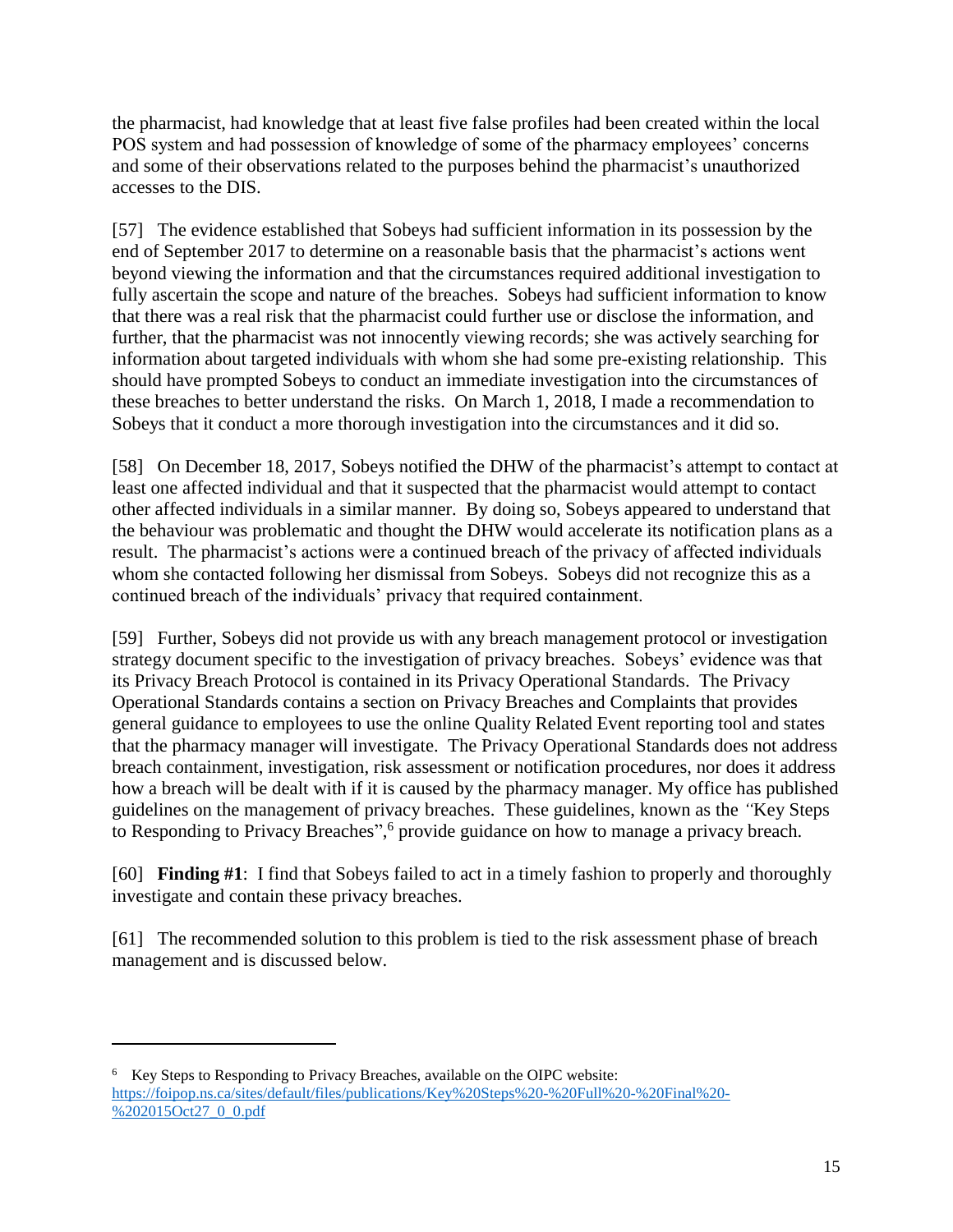the pharmacist, had knowledge that at least five false profiles had been created within the local POS system and had possession of knowledge of some of the pharmacy employees' concerns and some of their observations related to the purposes behind the pharmacist's unauthorized accesses to the DIS.

[57] The evidence established that Sobeys had sufficient information in its possession by the end of September 2017 to determine on a reasonable basis that the pharmacist's actions went beyond viewing the information and that the circumstances required additional investigation to fully ascertain the scope and nature of the breaches. Sobeys had sufficient information to know that there was a real risk that the pharmacist could further use or disclose the information, and further, that the pharmacist was not innocently viewing records; she was actively searching for information about targeted individuals with whom she had some pre-existing relationship. This should have prompted Sobeys to conduct an immediate investigation into the circumstances of these breaches to better understand the risks. On March 1, 2018, I made a recommendation to Sobeys that it conduct a more thorough investigation into the circumstances and it did so.

[58] On December 18, 2017, Sobeys notified the DHW of the pharmacist's attempt to contact at least one affected individual and that it suspected that the pharmacist would attempt to contact other affected individuals in a similar manner. By doing so, Sobeys appeared to understand that the behaviour was problematic and thought the DHW would accelerate its notification plans as a result. The pharmacist's actions were a continued breach of the privacy of affected individuals whom she contacted following her dismissal from Sobeys. Sobeys did not recognize this as a continued breach of the individuals' privacy that required containment.

[59] Further, Sobeys did not provide us with any breach management protocol or investigation strategy document specific to the investigation of privacy breaches. Sobeys' evidence was that its Privacy Breach Protocol is contained in its Privacy Operational Standards. The Privacy Operational Standards contains a section on Privacy Breaches and Complaints that provides general guidance to employees to use the online Quality Related Event reporting tool and states that the pharmacy manager will investigate. The Privacy Operational Standards does not address breach containment, investigation, risk assessment or notification procedures, nor does it address how a breach will be dealt with if it is caused by the pharmacy manager. My office has published guidelines on the management of privacy breaches. These guidelines, known as the *"*Key Steps to Responding to Privacy Breaches",<sup>6</sup> provide guidance on how to manage a privacy breach.

[60] **Finding #1**: I find that Sobeys failed to act in a timely fashion to properly and thoroughly investigate and contain these privacy breaches.

[61] The recommended solution to this problem is tied to the risk assessment phase of breach management and is discussed below.

 $\overline{a}$ 

<sup>&</sup>lt;sup>6</sup> Key Steps to Responding to Privacy Breaches, available on the OIPC website: [https://foipop.ns.ca/sites/default/files/publications/Key%20Steps%20-%20Full%20-%20Final%20-](https://foipop.ns.ca/sites/default/files/publications/Key%20Steps%20-%20Full%20-%20Final%20-%202015Oct27_0_0.pdf) [%202015Oct27\\_0\\_0.pdf](https://foipop.ns.ca/sites/default/files/publications/Key%20Steps%20-%20Full%20-%20Final%20-%202015Oct27_0_0.pdf)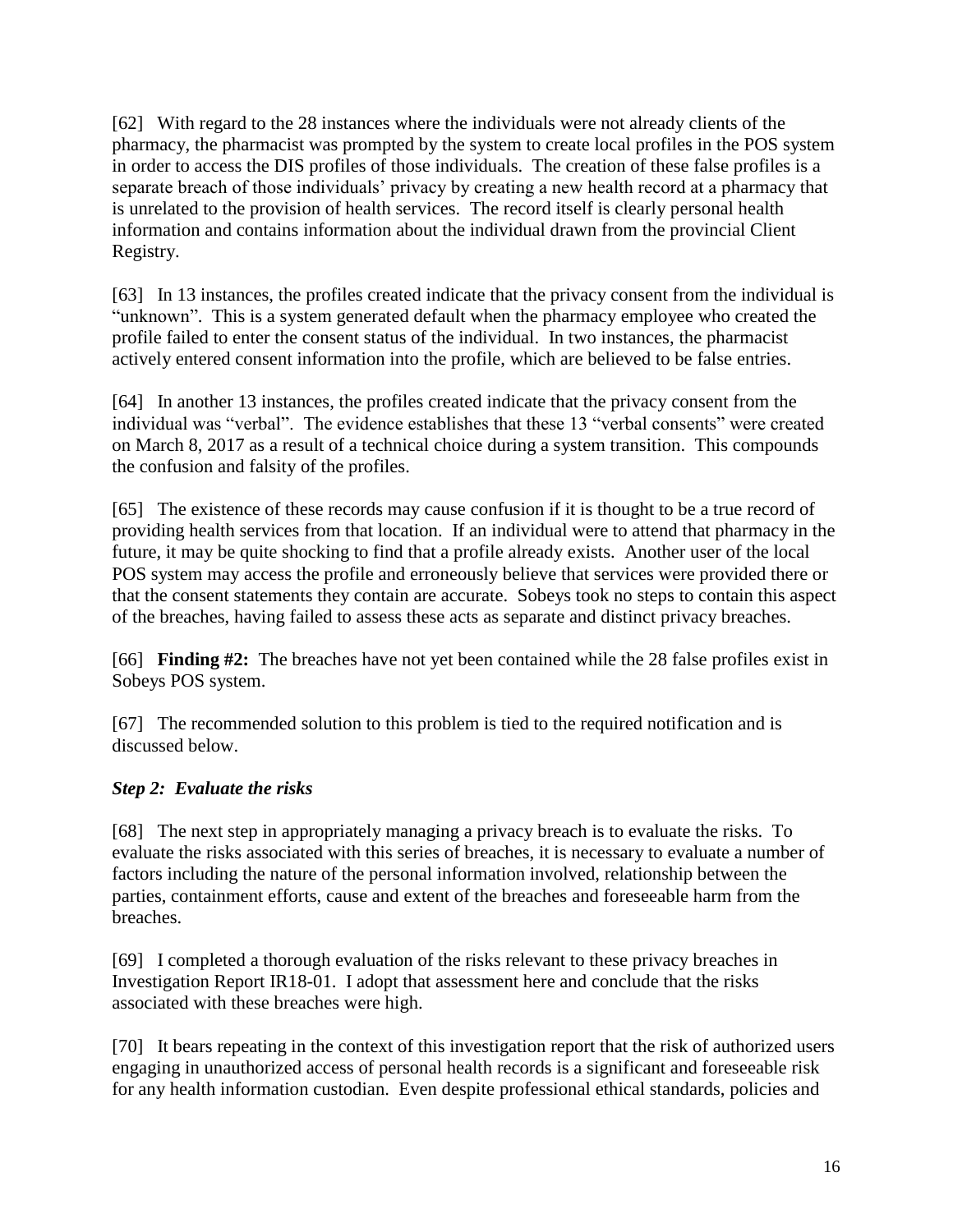[62] With regard to the 28 instances where the individuals were not already clients of the pharmacy, the pharmacist was prompted by the system to create local profiles in the POS system in order to access the DIS profiles of those individuals. The creation of these false profiles is a separate breach of those individuals' privacy by creating a new health record at a pharmacy that is unrelated to the provision of health services. The record itself is clearly personal health information and contains information about the individual drawn from the provincial Client Registry.

[63] In 13 instances, the profiles created indicate that the privacy consent from the individual is "unknown". This is a system generated default when the pharmacy employee who created the profile failed to enter the consent status of the individual. In two instances, the pharmacist actively entered consent information into the profile, which are believed to be false entries.

[64] In another 13 instances, the profiles created indicate that the privacy consent from the individual was "verbal". The evidence establishes that these 13 "verbal consents" were created on March 8, 2017 as a result of a technical choice during a system transition. This compounds the confusion and falsity of the profiles.

[65] The existence of these records may cause confusion if it is thought to be a true record of providing health services from that location. If an individual were to attend that pharmacy in the future, it may be quite shocking to find that a profile already exists. Another user of the local POS system may access the profile and erroneously believe that services were provided there or that the consent statements they contain are accurate. Sobeys took no steps to contain this aspect of the breaches, having failed to assess these acts as separate and distinct privacy breaches.

[66] **Finding #2:** The breaches have not yet been contained while the 28 false profiles exist in Sobeys POS system.

[67] The recommended solution to this problem is tied to the required notification and is discussed below.

# *Step 2: Evaluate the risks*

[68] The next step in appropriately managing a privacy breach is to evaluate the risks. To evaluate the risks associated with this series of breaches, it is necessary to evaluate a number of factors including the nature of the personal information involved, relationship between the parties, containment efforts, cause and extent of the breaches and foreseeable harm from the breaches.

[69] I completed a thorough evaluation of the risks relevant to these privacy breaches in Investigation Report IR18-01. I adopt that assessment here and conclude that the risks associated with these breaches were high.

[70] It bears repeating in the context of this investigation report that the risk of authorized users engaging in unauthorized access of personal health records is a significant and foreseeable risk for any health information custodian. Even despite professional ethical standards, policies and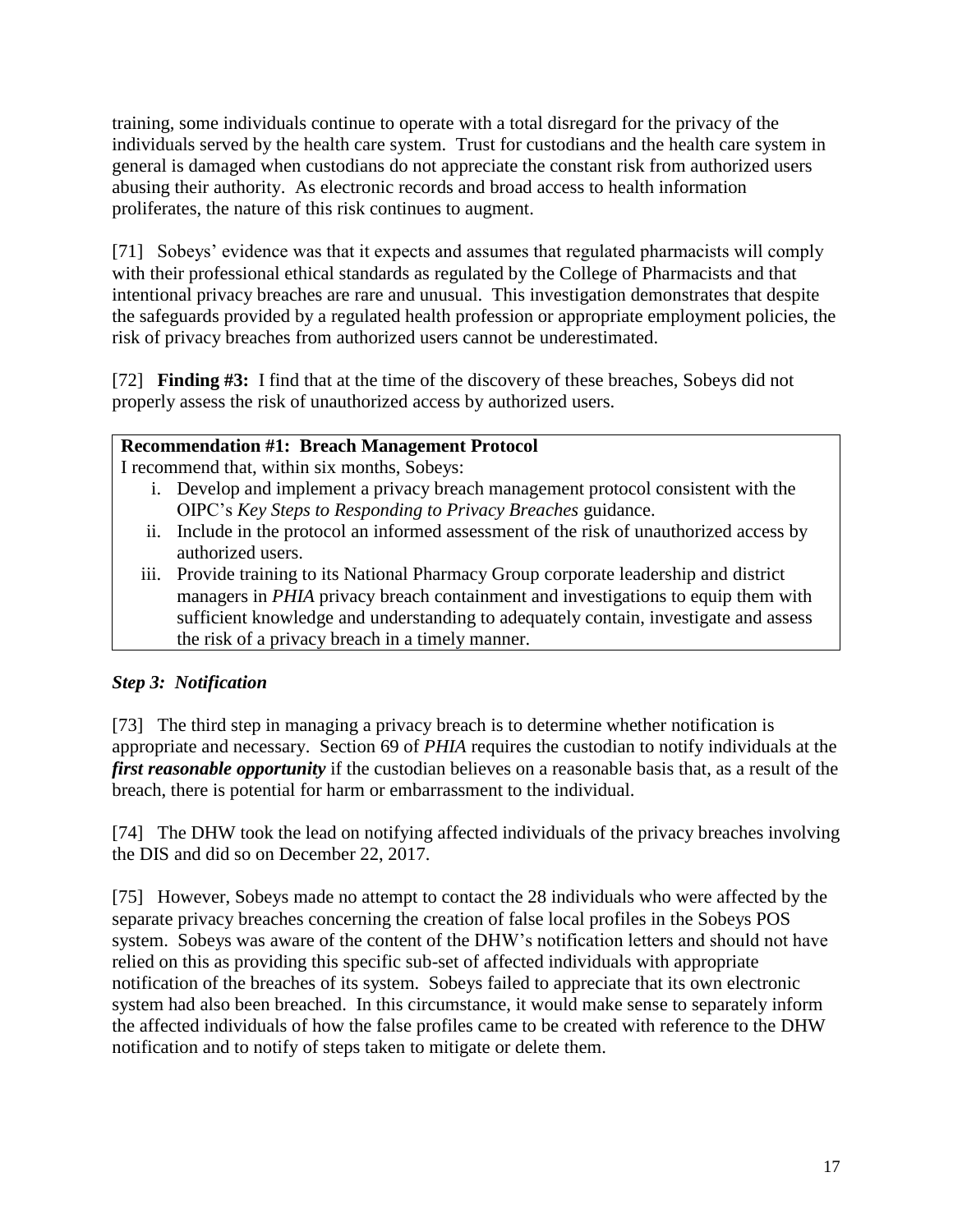training, some individuals continue to operate with a total disregard for the privacy of the individuals served by the health care system. Trust for custodians and the health care system in general is damaged when custodians do not appreciate the constant risk from authorized users abusing their authority. As electronic records and broad access to health information proliferates, the nature of this risk continues to augment.

[71] Sobeys' evidence was that it expects and assumes that regulated pharmacists will comply with their professional ethical standards as regulated by the College of Pharmacists and that intentional privacy breaches are rare and unusual. This investigation demonstrates that despite the safeguards provided by a regulated health profession or appropriate employment policies, the risk of privacy breaches from authorized users cannot be underestimated.

[72] **Finding #3:** I find that at the time of the discovery of these breaches, Sobeys did not properly assess the risk of unauthorized access by authorized users.

# **Recommendation #1: Breach Management Protocol**

I recommend that, within six months, Sobeys:

- i. Develop and implement a privacy breach management protocol consistent with the OIPC's *Key Steps to Responding to Privacy Breaches* guidance.
- ii. Include in the protocol an informed assessment of the risk of unauthorized access by authorized users.
- iii. Provide training to its National Pharmacy Group corporate leadership and district managers in *PHIA* privacy breach containment and investigations to equip them with sufficient knowledge and understanding to adequately contain, investigate and assess the risk of a privacy breach in a timely manner.

# *Step 3: Notification*

[73] The third step in managing a privacy breach is to determine whether notification is appropriate and necessary. Section 69 of *PHIA* requires the custodian to notify individuals at the *first reasonable opportunity* if the custodian believes on a reasonable basis that, as a result of the breach, there is potential for harm or embarrassment to the individual.

[74] The DHW took the lead on notifying affected individuals of the privacy breaches involving the DIS and did so on December 22, 2017.

[75] However, Sobeys made no attempt to contact the 28 individuals who were affected by the separate privacy breaches concerning the creation of false local profiles in the Sobeys POS system. Sobeys was aware of the content of the DHW's notification letters and should not have relied on this as providing this specific sub-set of affected individuals with appropriate notification of the breaches of its system. Sobeys failed to appreciate that its own electronic system had also been breached. In this circumstance, it would make sense to separately inform the affected individuals of how the false profiles came to be created with reference to the DHW notification and to notify of steps taken to mitigate or delete them.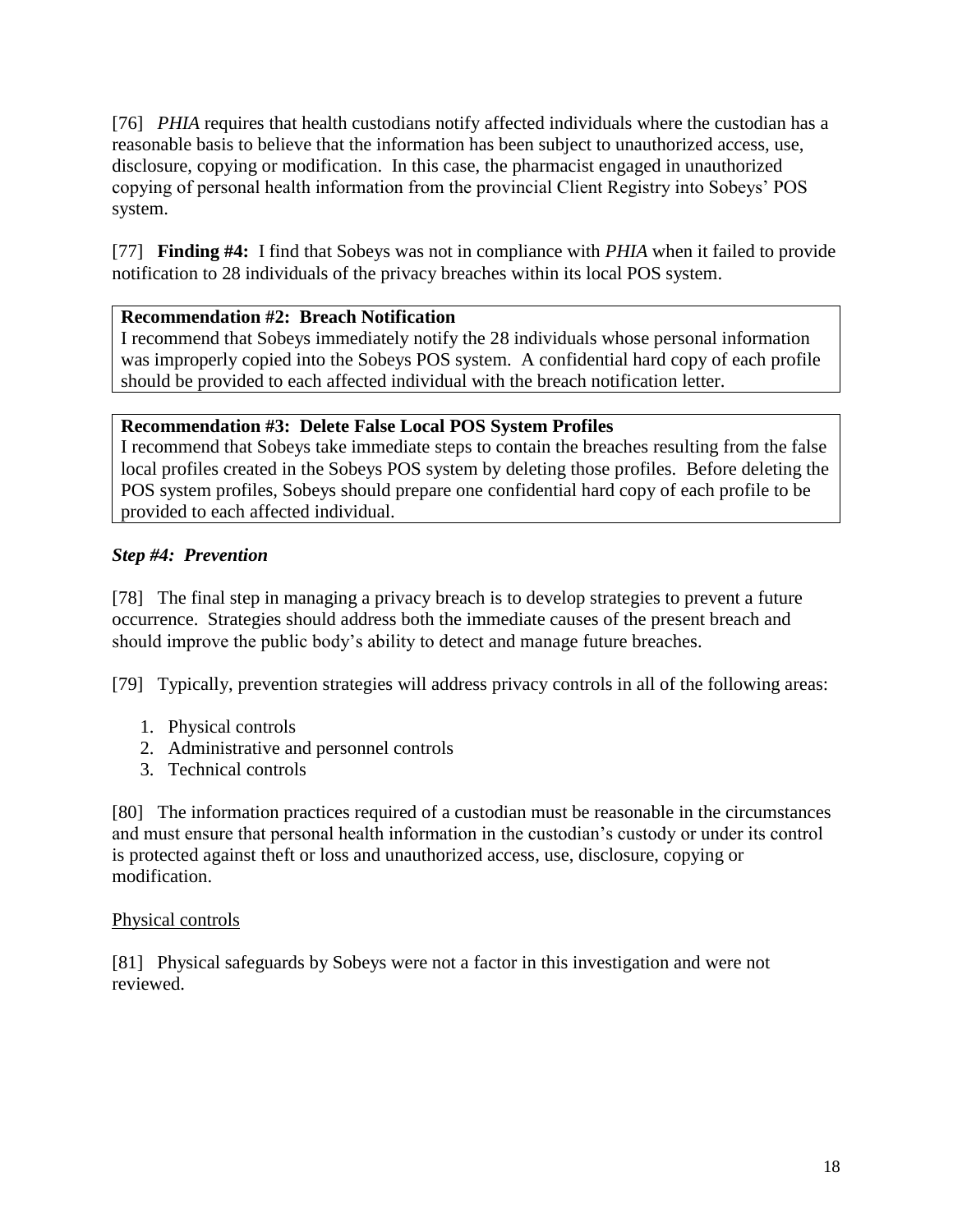[76] *PHIA* requires that health custodians notify affected individuals where the custodian has a reasonable basis to believe that the information has been subject to unauthorized access, use, disclosure, copying or modification. In this case, the pharmacist engaged in unauthorized copying of personal health information from the provincial Client Registry into Sobeys' POS system.

[77] **Finding #4:** I find that Sobeys was not in compliance with *PHIA* when it failed to provide notification to 28 individuals of the privacy breaches within its local POS system.

# **Recommendation #2: Breach Notification**

I recommend that Sobeys immediately notify the 28 individuals whose personal information was improperly copied into the Sobeys POS system. A confidential hard copy of each profile should be provided to each affected individual with the breach notification letter.

#### **Recommendation #3: Delete False Local POS System Profiles**

I recommend that Sobeys take immediate steps to contain the breaches resulting from the false local profiles created in the Sobeys POS system by deleting those profiles. Before deleting the POS system profiles, Sobeys should prepare one confidential hard copy of each profile to be provided to each affected individual.

# *Step #4: Prevention*

[78] The final step in managing a privacy breach is to develop strategies to prevent a future occurrence. Strategies should address both the immediate causes of the present breach and should improve the public body's ability to detect and manage future breaches.

[79] Typically, prevention strategies will address privacy controls in all of the following areas:

- 1. Physical controls
- 2. Administrative and personnel controls
- 3. Technical controls

[80] The information practices required of a custodian must be reasonable in the circumstances and must ensure that personal health information in the custodian's custody or under its control is protected against theft or loss and unauthorized access, use, disclosure, copying or modification.

#### Physical controls

[81] Physical safeguards by Sobeys were not a factor in this investigation and were not reviewed.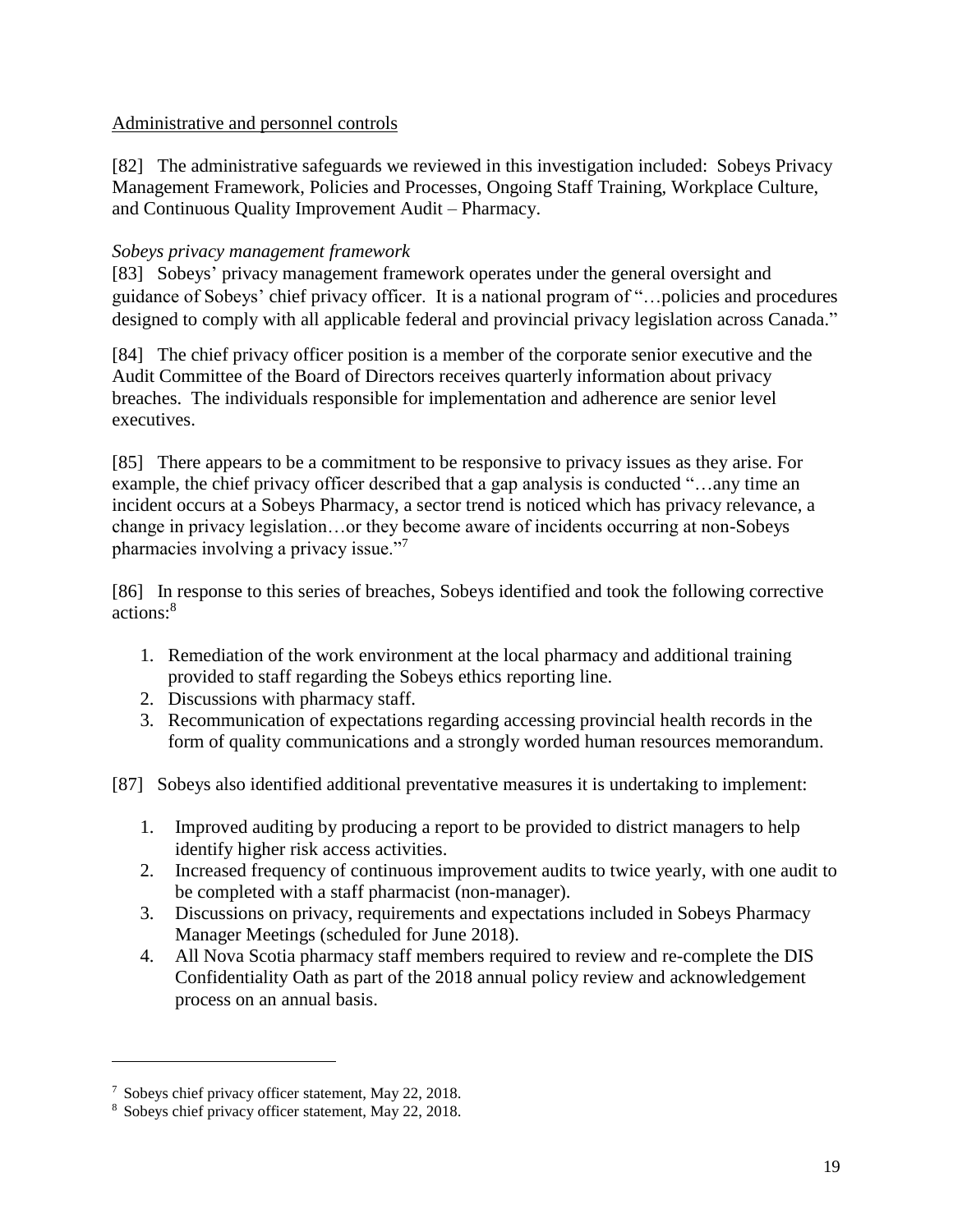#### Administrative and personnel controls

[82] The administrative safeguards we reviewed in this investigation included: Sobeys Privacy Management Framework, Policies and Processes, Ongoing Staff Training, Workplace Culture, and Continuous Quality Improvement Audit – Pharmacy.

#### *Sobeys privacy management framework*

[83] Sobeys' privacy management framework operates under the general oversight and guidance of Sobeys' chief privacy officer. It is a national program of "…policies and procedures designed to comply with all applicable federal and provincial privacy legislation across Canada."

[84] The chief privacy officer position is a member of the corporate senior executive and the Audit Committee of the Board of Directors receives quarterly information about privacy breaches. The individuals responsible for implementation and adherence are senior level executives.

[85] There appears to be a commitment to be responsive to privacy issues as they arise. For example, the chief privacy officer described that a gap analysis is conducted "…any time an incident occurs at a Sobeys Pharmacy, a sector trend is noticed which has privacy relevance, a change in privacy legislation…or they become aware of incidents occurring at non-Sobeys pharmacies involving a privacy issue."<sup>7</sup>

[86] In response to this series of breaches, Sobeys identified and took the following corrective actions: 8

- 1. Remediation of the work environment at the local pharmacy and additional training provided to staff regarding the Sobeys ethics reporting line.
- 2. Discussions with pharmacy staff.
- 3. Recommunication of expectations regarding accessing provincial health records in the form of quality communications and a strongly worded human resources memorandum.
- [87] Sobeys also identified additional preventative measures it is undertaking to implement:
	- 1. Improved auditing by producing a report to be provided to district managers to help identify higher risk access activities.
	- 2. Increased frequency of continuous improvement audits to twice yearly, with one audit to be completed with a staff pharmacist (non-manager).
	- 3. Discussions on privacy, requirements and expectations included in Sobeys Pharmacy Manager Meetings (scheduled for June 2018).
	- 4. All Nova Scotia pharmacy staff members required to review and re-complete the DIS Confidentiality Oath as part of the 2018 annual policy review and acknowledgement process on an annual basis.

 $\overline{\phantom{a}}$ 

<sup>7</sup> Sobeys chief privacy officer statement, May 22, 2018.

<sup>8</sup> Sobeys chief privacy officer statement, May 22, 2018.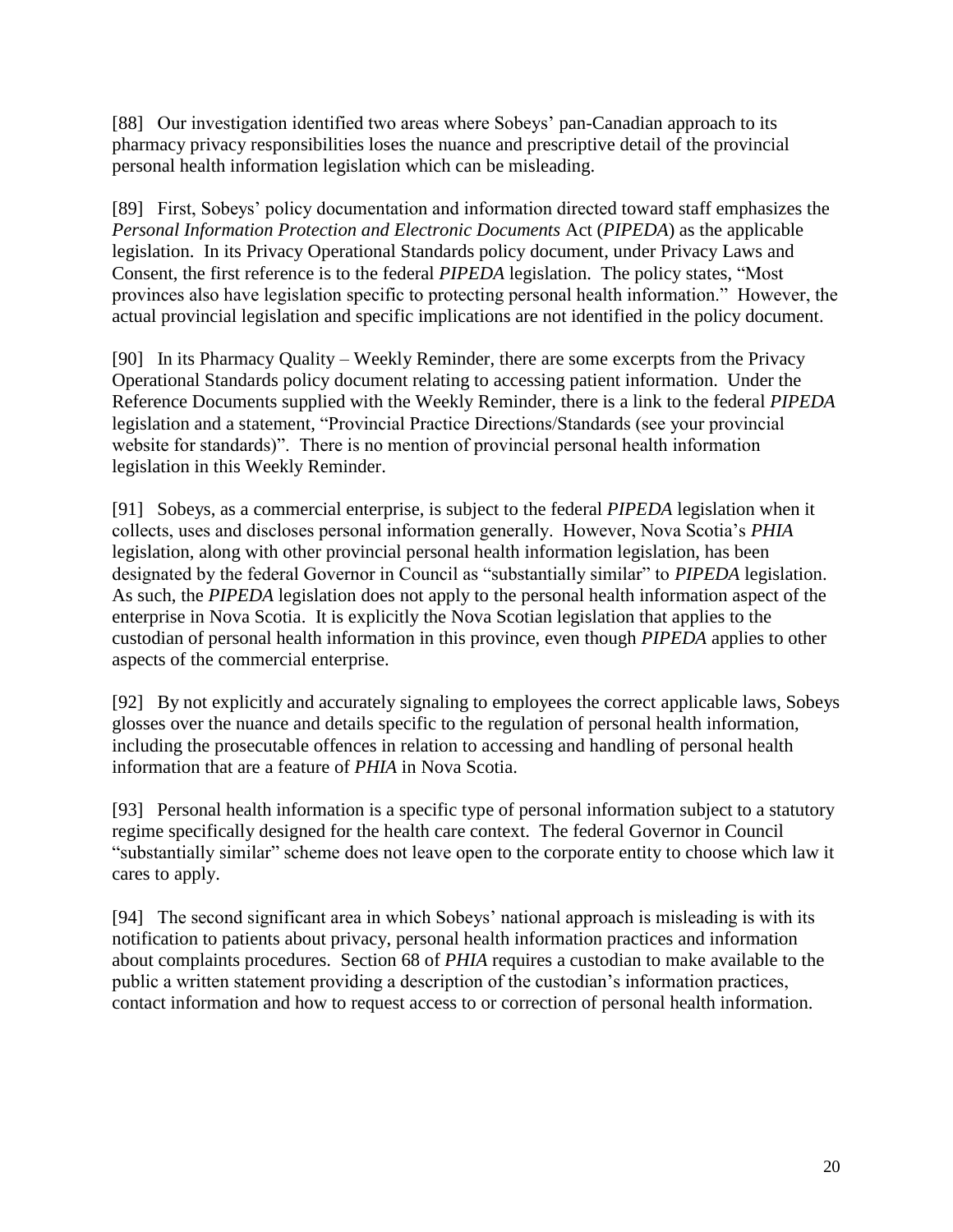[88] Our investigation identified two areas where Sobeys' pan-Canadian approach to its pharmacy privacy responsibilities loses the nuance and prescriptive detail of the provincial personal health information legislation which can be misleading.

[89] First, Sobeys' policy documentation and information directed toward staff emphasizes the *Personal Information Protection and Electronic Documents* Act (*PIPEDA*) as the applicable legislation. In its Privacy Operational Standards policy document, under Privacy Laws and Consent, the first reference is to the federal *PIPEDA* legislation. The policy states, "Most provinces also have legislation specific to protecting personal health information." However, the actual provincial legislation and specific implications are not identified in the policy document.

[90] In its Pharmacy Quality – Weekly Reminder, there are some excerpts from the Privacy Operational Standards policy document relating to accessing patient information. Under the Reference Documents supplied with the Weekly Reminder, there is a link to the federal *PIPEDA* legislation and a statement, "Provincial Practice Directions/Standards (see your provincial website for standards)". There is no mention of provincial personal health information legislation in this Weekly Reminder.

[91] Sobeys, as a commercial enterprise, is subject to the federal *PIPEDA* legislation when it collects, uses and discloses personal information generally. However, Nova Scotia's *PHIA*  legislation, along with other provincial personal health information legislation, has been designated by the federal Governor in Council as "substantially similar" to *PIPEDA* legislation. As such, the *PIPEDA* legislation does not apply to the personal health information aspect of the enterprise in Nova Scotia. It is explicitly the Nova Scotian legislation that applies to the custodian of personal health information in this province, even though *PIPEDA* applies to other aspects of the commercial enterprise.

[92] By not explicitly and accurately signaling to employees the correct applicable laws, Sobeys glosses over the nuance and details specific to the regulation of personal health information, including the prosecutable offences in relation to accessing and handling of personal health information that are a feature of *PHIA* in Nova Scotia.

[93] Personal health information is a specific type of personal information subject to a statutory regime specifically designed for the health care context. The federal Governor in Council "substantially similar" scheme does not leave open to the corporate entity to choose which law it cares to apply.

[94] The second significant area in which Sobeys' national approach is misleading is with its notification to patients about privacy, personal health information practices and information about complaints procedures. Section 68 of *PHIA* requires a custodian to make available to the public a written statement providing a description of the custodian's information practices, contact information and how to request access to or correction of personal health information.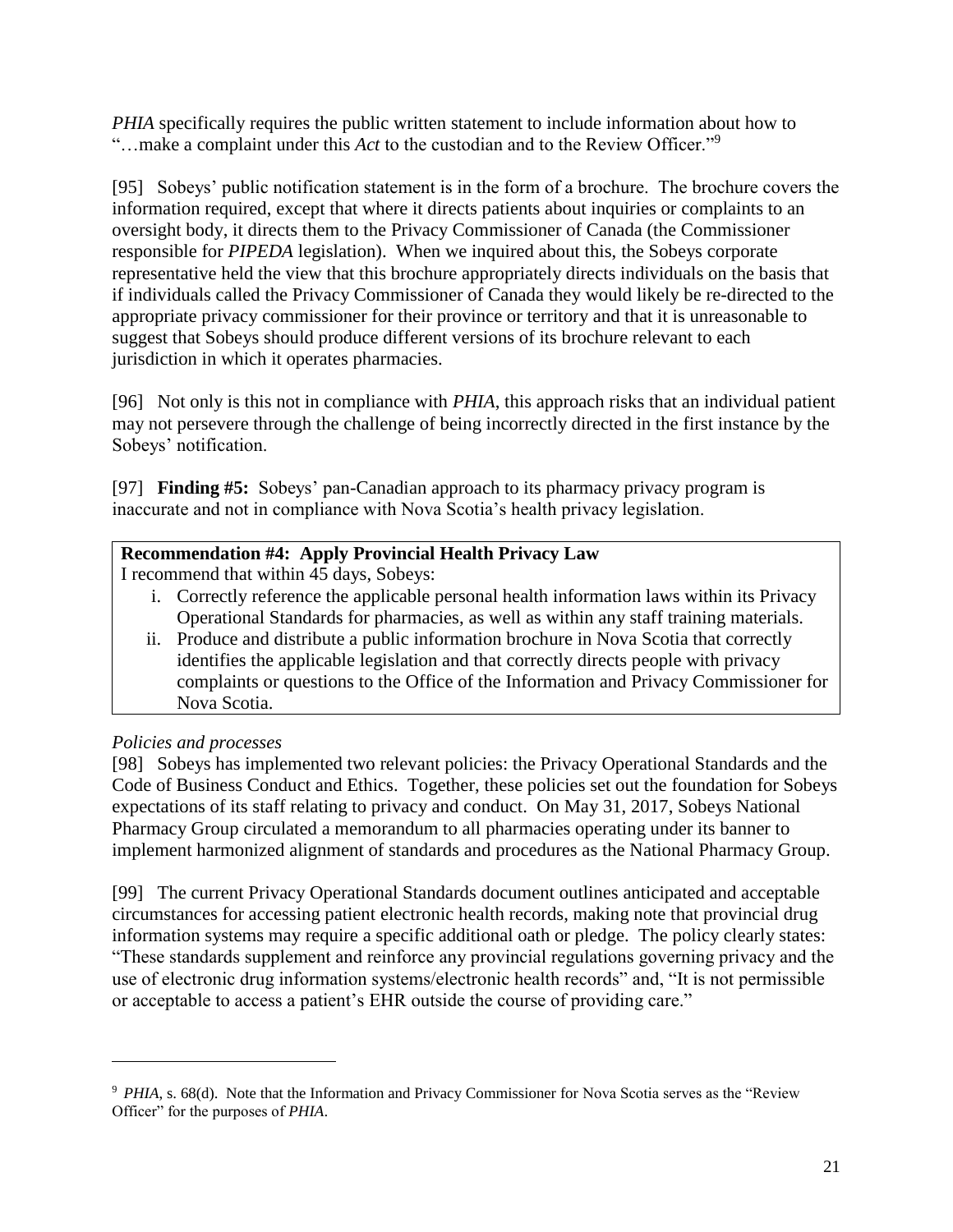*PHIA* specifically requires the public written statement to include information about how to "…make a complaint under this *Act* to the custodian and to the Review Officer."<sup>9</sup>

[95] Sobeys' public notification statement is in the form of a brochure. The brochure covers the information required, except that where it directs patients about inquiries or complaints to an oversight body, it directs them to the Privacy Commissioner of Canada (the Commissioner responsible for *PIPEDA* legislation). When we inquired about this, the Sobeys corporate representative held the view that this brochure appropriately directs individuals on the basis that if individuals called the Privacy Commissioner of Canada they would likely be re-directed to the appropriate privacy commissioner for their province or territory and that it is unreasonable to suggest that Sobeys should produce different versions of its brochure relevant to each jurisdiction in which it operates pharmacies.

[96] Not only is this not in compliance with *PHIA*, this approach risks that an individual patient may not persevere through the challenge of being incorrectly directed in the first instance by the Sobeys' notification.

[97] **Finding #5:** Sobeys' pan-Canadian approach to its pharmacy privacy program is inaccurate and not in compliance with Nova Scotia's health privacy legislation.

# **Recommendation #4: Apply Provincial Health Privacy Law**

I recommend that within 45 days, Sobeys:

- i. Correctly reference the applicable personal health information laws within its Privacy Operational Standards for pharmacies, as well as within any staff training materials.
- ii. Produce and distribute a public information brochure in Nova Scotia that correctly identifies the applicable legislation and that correctly directs people with privacy complaints or questions to the Office of the Information and Privacy Commissioner for Nova Scotia.

# *Policies and processes*

 $\overline{\phantom{a}}$ 

[98] Sobeys has implemented two relevant policies: the Privacy Operational Standards and the Code of Business Conduct and Ethics. Together, these policies set out the foundation for Sobeys expectations of its staff relating to privacy and conduct. On May 31, 2017, Sobeys National Pharmacy Group circulated a memorandum to all pharmacies operating under its banner to implement harmonized alignment of standards and procedures as the National Pharmacy Group.

[99] The current Privacy Operational Standards document outlines anticipated and acceptable circumstances for accessing patient electronic health records, making note that provincial drug information systems may require a specific additional oath or pledge. The policy clearly states: "These standards supplement and reinforce any provincial regulations governing privacy and the use of electronic drug information systems/electronic health records" and, "It is not permissible or acceptable to access a patient's EHR outside the course of providing care."

<sup>&</sup>lt;sup>9</sup> *PHIA*, s. 68(d). Note that the Information and Privacy Commissioner for Nova Scotia serves as the "Review" Officer" for the purposes of *PHIA*.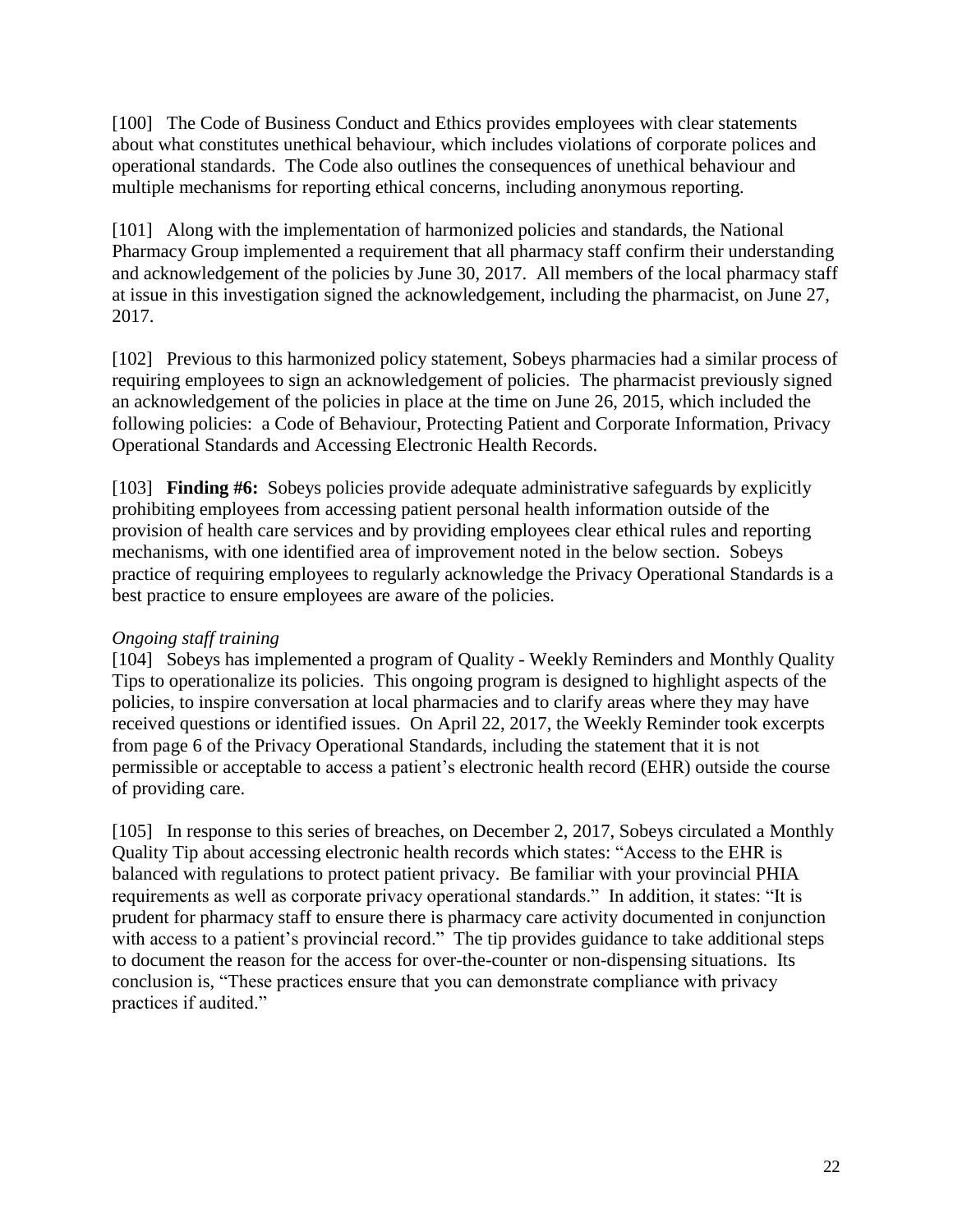[100] The Code of Business Conduct and Ethics provides employees with clear statements about what constitutes unethical behaviour, which includes violations of corporate polices and operational standards. The Code also outlines the consequences of unethical behaviour and multiple mechanisms for reporting ethical concerns, including anonymous reporting.

[101] Along with the implementation of harmonized policies and standards, the National Pharmacy Group implemented a requirement that all pharmacy staff confirm their understanding and acknowledgement of the policies by June 30, 2017. All members of the local pharmacy staff at issue in this investigation signed the acknowledgement, including the pharmacist, on June 27, 2017.

[102] Previous to this harmonized policy statement, Sobeys pharmacies had a similar process of requiring employees to sign an acknowledgement of policies. The pharmacist previously signed an acknowledgement of the policies in place at the time on June 26, 2015, which included the following policies: a Code of Behaviour, Protecting Patient and Corporate Information, Privacy Operational Standards and Accessing Electronic Health Records.

[103] **Finding #6:** Sobeys policies provide adequate administrative safeguards by explicitly prohibiting employees from accessing patient personal health information outside of the provision of health care services and by providing employees clear ethical rules and reporting mechanisms, with one identified area of improvement noted in the below section. Sobeys practice of requiring employees to regularly acknowledge the Privacy Operational Standards is a best practice to ensure employees are aware of the policies.

#### *Ongoing staff training*

[104] Sobeys has implemented a program of Quality - Weekly Reminders and Monthly Quality Tips to operationalize its policies. This ongoing program is designed to highlight aspects of the policies, to inspire conversation at local pharmacies and to clarify areas where they may have received questions or identified issues. On April 22, 2017, the Weekly Reminder took excerpts from page 6 of the Privacy Operational Standards, including the statement that it is not permissible or acceptable to access a patient's electronic health record (EHR) outside the course of providing care.

[105] In response to this series of breaches, on December 2, 2017, Sobeys circulated a Monthly Quality Tip about accessing electronic health records which states: "Access to the EHR is balanced with regulations to protect patient privacy. Be familiar with your provincial PHIA requirements as well as corporate privacy operational standards." In addition, it states: "It is prudent for pharmacy staff to ensure there is pharmacy care activity documented in conjunction with access to a patient's provincial record." The tip provides guidance to take additional steps to document the reason for the access for over-the-counter or non-dispensing situations. Its conclusion is, "These practices ensure that you can demonstrate compliance with privacy practices if audited."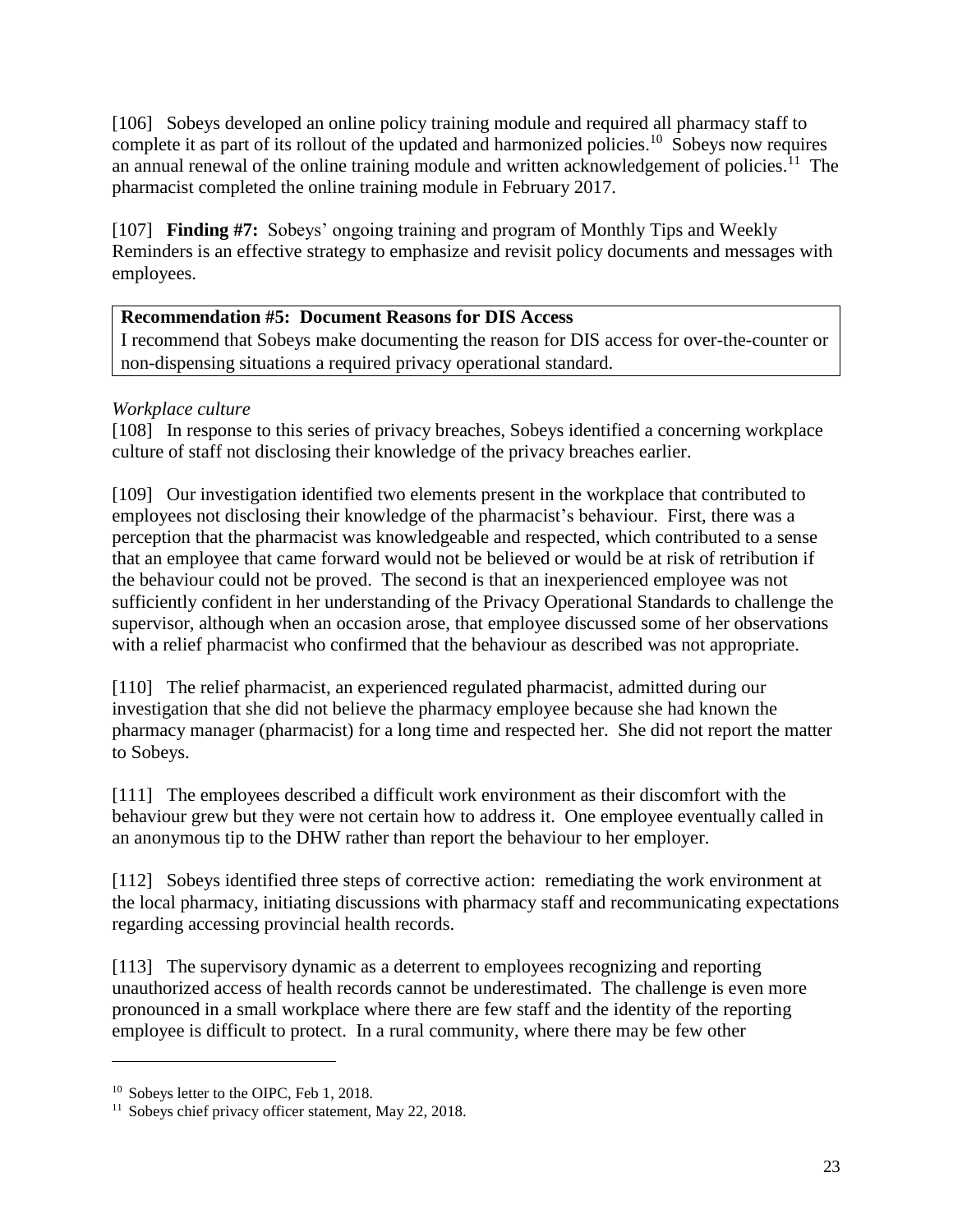[106] Sobeys developed an online policy training module and required all pharmacy staff to complete it as part of its rollout of the updated and harmonized policies.<sup>10</sup> Sobeys now requires an annual renewal of the online training module and written acknowledgement of policies.<sup>11</sup> The pharmacist completed the online training module in February 2017.

[107] **Finding #7:** Sobeys' ongoing training and program of Monthly Tips and Weekly Reminders is an effective strategy to emphasize and revisit policy documents and messages with employees.

# **Recommendation #5: Document Reasons for DIS Access**

I recommend that Sobeys make documenting the reason for DIS access for over-the-counter or non-dispensing situations a required privacy operational standard.

# *Workplace culture*

[108] In response to this series of privacy breaches, Sobeys identified a concerning workplace culture of staff not disclosing their knowledge of the privacy breaches earlier.

[109] Our investigation identified two elements present in the workplace that contributed to employees not disclosing their knowledge of the pharmacist's behaviour. First, there was a perception that the pharmacist was knowledgeable and respected, which contributed to a sense that an employee that came forward would not be believed or would be at risk of retribution if the behaviour could not be proved. The second is that an inexperienced employee was not sufficiently confident in her understanding of the Privacy Operational Standards to challenge the supervisor, although when an occasion arose, that employee discussed some of her observations with a relief pharmacist who confirmed that the behaviour as described was not appropriate.

[110] The relief pharmacist, an experienced regulated pharmacist, admitted during our investigation that she did not believe the pharmacy employee because she had known the pharmacy manager (pharmacist) for a long time and respected her. She did not report the matter to Sobeys.

[111] The employees described a difficult work environment as their discomfort with the behaviour grew but they were not certain how to address it. One employee eventually called in an anonymous tip to the DHW rather than report the behaviour to her employer.

[112] Sobeys identified three steps of corrective action: remediating the work environment at the local pharmacy, initiating discussions with pharmacy staff and recommunicating expectations regarding accessing provincial health records.

[113] The supervisory dynamic as a deterrent to employees recognizing and reporting unauthorized access of health records cannot be underestimated. The challenge is even more pronounced in a small workplace where there are few staff and the identity of the reporting employee is difficult to protect. In a rural community, where there may be few other

 $\overline{\phantom{a}}$ 

<sup>&</sup>lt;sup>10</sup> Sobeys letter to the OIPC, Feb 1, 2018.

<sup>&</sup>lt;sup>11</sup> Sobeys chief privacy officer statement, May 22, 2018.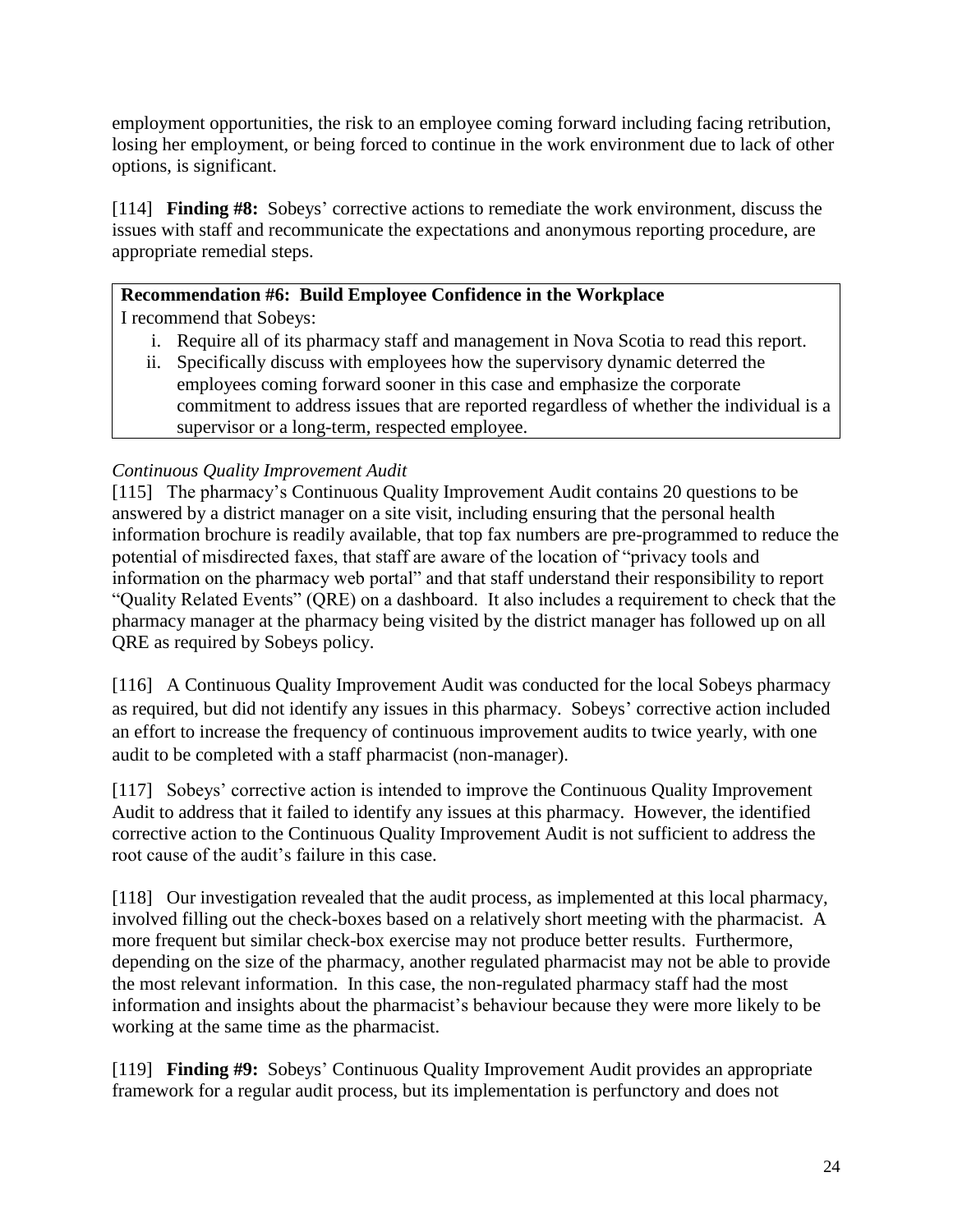employment opportunities, the risk to an employee coming forward including facing retribution, losing her employment, or being forced to continue in the work environment due to lack of other options, is significant.

[114] **Finding #8:** Sobeys' corrective actions to remediate the work environment, discuss the issues with staff and recommunicate the expectations and anonymous reporting procedure, are appropriate remedial steps.

# **Recommendation #6: Build Employee Confidence in the Workplace**

I recommend that Sobeys:

- i. Require all of its pharmacy staff and management in Nova Scotia to read this report.
- ii. Specifically discuss with employees how the supervisory dynamic deterred the employees coming forward sooner in this case and emphasize the corporate commitment to address issues that are reported regardless of whether the individual is a supervisor or a long-term, respected employee.

# *Continuous Quality Improvement Audit*

[115] The pharmacy's Continuous Quality Improvement Audit contains 20 questions to be answered by a district manager on a site visit, including ensuring that the personal health information brochure is readily available, that top fax numbers are pre-programmed to reduce the potential of misdirected faxes, that staff are aware of the location of "privacy tools and information on the pharmacy web portal" and that staff understand their responsibility to report "Quality Related Events" (QRE) on a dashboard. It also includes a requirement to check that the pharmacy manager at the pharmacy being visited by the district manager has followed up on all QRE as required by Sobeys policy.

[116] A Continuous Quality Improvement Audit was conducted for the local Sobeys pharmacy as required, but did not identify any issues in this pharmacy. Sobeys' corrective action included an effort to increase the frequency of continuous improvement audits to twice yearly, with one audit to be completed with a staff pharmacist (non-manager).

[117] Sobeys' corrective action is intended to improve the Continuous Quality Improvement Audit to address that it failed to identify any issues at this pharmacy. However, the identified corrective action to the Continuous Quality Improvement Audit is not sufficient to address the root cause of the audit's failure in this case.

[118] Our investigation revealed that the audit process, as implemented at this local pharmacy, involved filling out the check-boxes based on a relatively short meeting with the pharmacist. A more frequent but similar check-box exercise may not produce better results. Furthermore, depending on the size of the pharmacy, another regulated pharmacist may not be able to provide the most relevant information. In this case, the non-regulated pharmacy staff had the most information and insights about the pharmacist's behaviour because they were more likely to be working at the same time as the pharmacist.

[119] **Finding #9:** Sobeys' Continuous Quality Improvement Audit provides an appropriate framework for a regular audit process, but its implementation is perfunctory and does not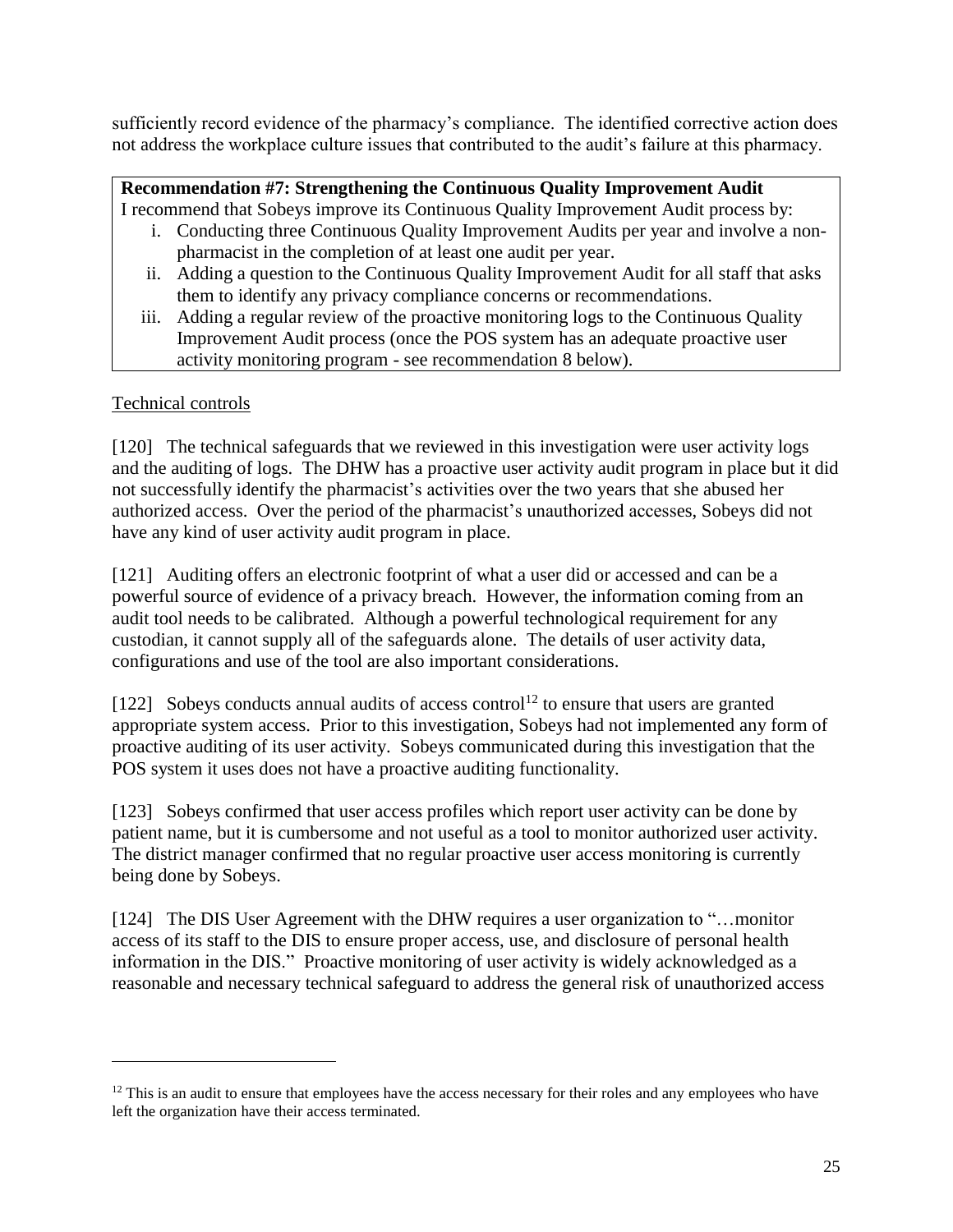sufficiently record evidence of the pharmacy's compliance. The identified corrective action does not address the workplace culture issues that contributed to the audit's failure at this pharmacy.

# **Recommendation #7: Strengthening the Continuous Quality Improvement Audit**

I recommend that Sobeys improve its Continuous Quality Improvement Audit process by:

- i. Conducting three Continuous Quality Improvement Audits per year and involve a nonpharmacist in the completion of at least one audit per year.
- ii. Adding a question to the Continuous Quality Improvement Audit for all staff that asks them to identify any privacy compliance concerns or recommendations.
- iii. Adding a regular review of the proactive monitoring logs to the Continuous Quality Improvement Audit process (once the POS system has an adequate proactive user activity monitoring program - see recommendation 8 below).

# Technical controls

 $\overline{\phantom{a}}$ 

[120] The technical safeguards that we reviewed in this investigation were user activity logs and the auditing of logs. The DHW has a proactive user activity audit program in place but it did not successfully identify the pharmacist's activities over the two years that she abused her authorized access. Over the period of the pharmacist's unauthorized accesses, Sobeys did not have any kind of user activity audit program in place.

[121] Auditing offers an electronic footprint of what a user did or accessed and can be a powerful source of evidence of a privacy breach. However, the information coming from an audit tool needs to be calibrated. Although a powerful technological requirement for any custodian, it cannot supply all of the safeguards alone. The details of user activity data, configurations and use of the tool are also important considerations.

[122] Sobeys conducts annual audits of access control<sup>12</sup> to ensure that users are granted appropriate system access. Prior to this investigation, Sobeys had not implemented any form of proactive auditing of its user activity. Sobeys communicated during this investigation that the POS system it uses does not have a proactive auditing functionality.

[123] Sobeys confirmed that user access profiles which report user activity can be done by patient name, but it is cumbersome and not useful as a tool to monitor authorized user activity. The district manager confirmed that no regular proactive user access monitoring is currently being done by Sobeys.

[124] The DIS User Agreement with the DHW requires a user organization to "...monitor" access of its staff to the DIS to ensure proper access, use, and disclosure of personal health information in the DIS." Proactive monitoring of user activity is widely acknowledged as a reasonable and necessary technical safeguard to address the general risk of unauthorized access

 $12$  This is an audit to ensure that employees have the access necessary for their roles and any employees who have left the organization have their access terminated.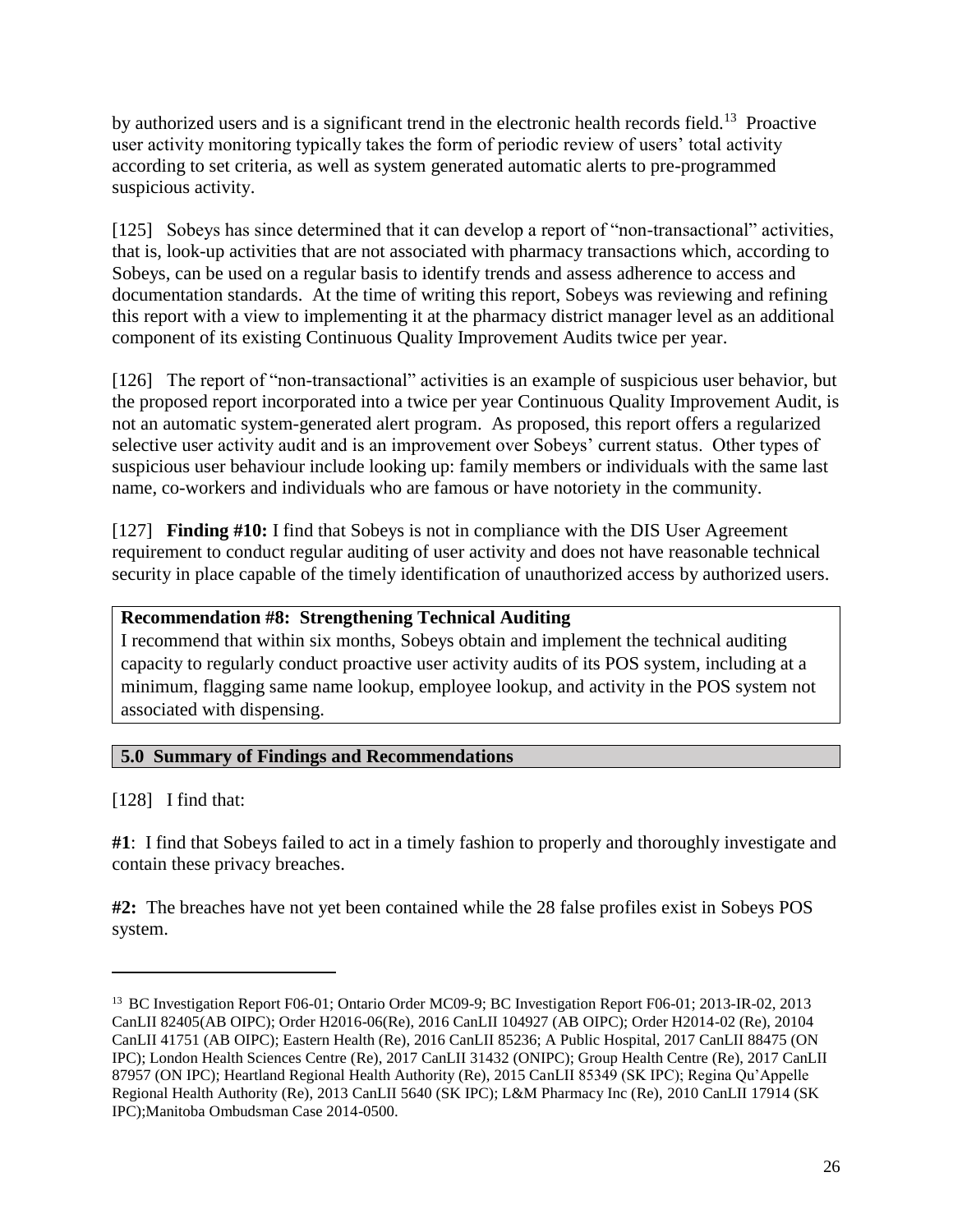by authorized users and is a significant trend in the electronic health records field.<sup>13</sup> Proactive user activity monitoring typically takes the form of periodic review of users' total activity according to set criteria, as well as system generated automatic alerts to pre-programmed suspicious activity.

[125] Sobeys has since determined that it can develop a report of "non-transactional" activities, that is, look-up activities that are not associated with pharmacy transactions which, according to Sobeys, can be used on a regular basis to identify trends and assess adherence to access and documentation standards. At the time of writing this report, Sobeys was reviewing and refining this report with a view to implementing it at the pharmacy district manager level as an additional component of its existing Continuous Quality Improvement Audits twice per year.

[126] The report of "non-transactional" activities is an example of suspicious user behavior, but the proposed report incorporated into a twice per year Continuous Quality Improvement Audit, is not an automatic system-generated alert program. As proposed, this report offers a regularized selective user activity audit and is an improvement over Sobeys' current status. Other types of suspicious user behaviour include looking up: family members or individuals with the same last name, co-workers and individuals who are famous or have notoriety in the community.

[127] **Finding #10:** I find that Sobeys is not in compliance with the DIS User Agreement requirement to conduct regular auditing of user activity and does not have reasonable technical security in place capable of the timely identification of unauthorized access by authorized users.

#### **Recommendation #8: Strengthening Technical Auditing**

I recommend that within six months, Sobeys obtain and implement the technical auditing capacity to regularly conduct proactive user activity audits of its POS system, including at a minimum, flagging same name lookup, employee lookup, and activity in the POS system not associated with dispensing.

#### **5.0 Summary of Findings and Recommendations**

[128] I find that:

 $\overline{\phantom{a}}$ 

**#1**: I find that Sobeys failed to act in a timely fashion to properly and thoroughly investigate and contain these privacy breaches.

**#2:** The breaches have not yet been contained while the 28 false profiles exist in Sobeys POS system.

<sup>&</sup>lt;sup>13</sup> BC Investigation Report F06-01; Ontario Order MC09-9; BC Investigation Report F06-01; 2013-IR-02, 2013 CanLII 82405(AB OIPC); Order H2016-06(Re), 2016 CanLII 104927 (AB OIPC); Order H2014-02 (Re), 20104 CanLII 41751 (AB OIPC); Eastern Health (Re), 2016 CanLII 85236; A Public Hospital, 2017 CanLII 88475 (ON IPC); London Health Sciences Centre (Re), 2017 CanLII 31432 (ONIPC); Group Health Centre (Re), 2017 CanLII 87957 (ON IPC); Heartland Regional Health Authority (Re), 2015 CanLII 85349 (SK IPC); Regina Qu'Appelle Regional Health Authority (Re), 2013 CanLII 5640 (SK IPC); L&M Pharmacy Inc (Re), 2010 CanLII 17914 (SK IPC);Manitoba Ombudsman Case 2014-0500.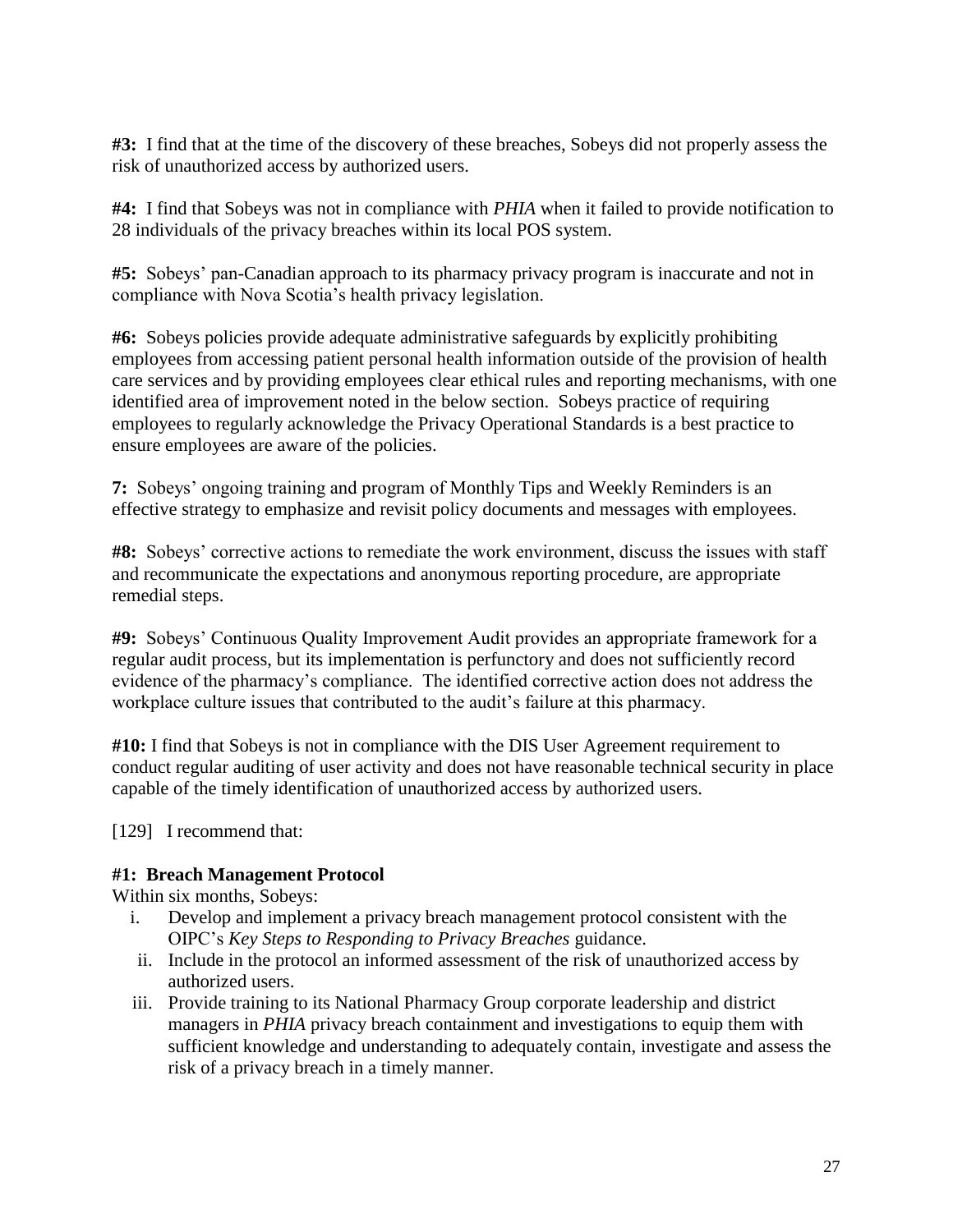**#3:** I find that at the time of the discovery of these breaches, Sobeys did not properly assess the risk of unauthorized access by authorized users.

**#4:** I find that Sobeys was not in compliance with *PHIA* when it failed to provide notification to 28 individuals of the privacy breaches within its local POS system.

**#5:** Sobeys' pan-Canadian approach to its pharmacy privacy program is inaccurate and not in compliance with Nova Scotia's health privacy legislation.

**#6:** Sobeys policies provide adequate administrative safeguards by explicitly prohibiting employees from accessing patient personal health information outside of the provision of health care services and by providing employees clear ethical rules and reporting mechanisms, with one identified area of improvement noted in the below section. Sobeys practice of requiring employees to regularly acknowledge the Privacy Operational Standards is a best practice to ensure employees are aware of the policies.

**7:** Sobeys' ongoing training and program of Monthly Tips and Weekly Reminders is an effective strategy to emphasize and revisit policy documents and messages with employees.

**#8:** Sobeys' corrective actions to remediate the work environment, discuss the issues with staff and recommunicate the expectations and anonymous reporting procedure, are appropriate remedial steps.

**#9:** Sobeys' Continuous Quality Improvement Audit provides an appropriate framework for a regular audit process, but its implementation is perfunctory and does not sufficiently record evidence of the pharmacy's compliance. The identified corrective action does not address the workplace culture issues that contributed to the audit's failure at this pharmacy.

**#10:** I find that Sobeys is not in compliance with the DIS User Agreement requirement to conduct regular auditing of user activity and does not have reasonable technical security in place capable of the timely identification of unauthorized access by authorized users.

[129] I recommend that:

#### **#1: Breach Management Protocol**

Within six months, Sobeys:

- i. Develop and implement a privacy breach management protocol consistent with the OIPC's *Key Steps to Responding to Privacy Breaches* guidance.
- ii. Include in the protocol an informed assessment of the risk of unauthorized access by authorized users.
- iii. Provide training to its National Pharmacy Group corporate leadership and district managers in *PHIA* privacy breach containment and investigations to equip them with sufficient knowledge and understanding to adequately contain, investigate and assess the risk of a privacy breach in a timely manner.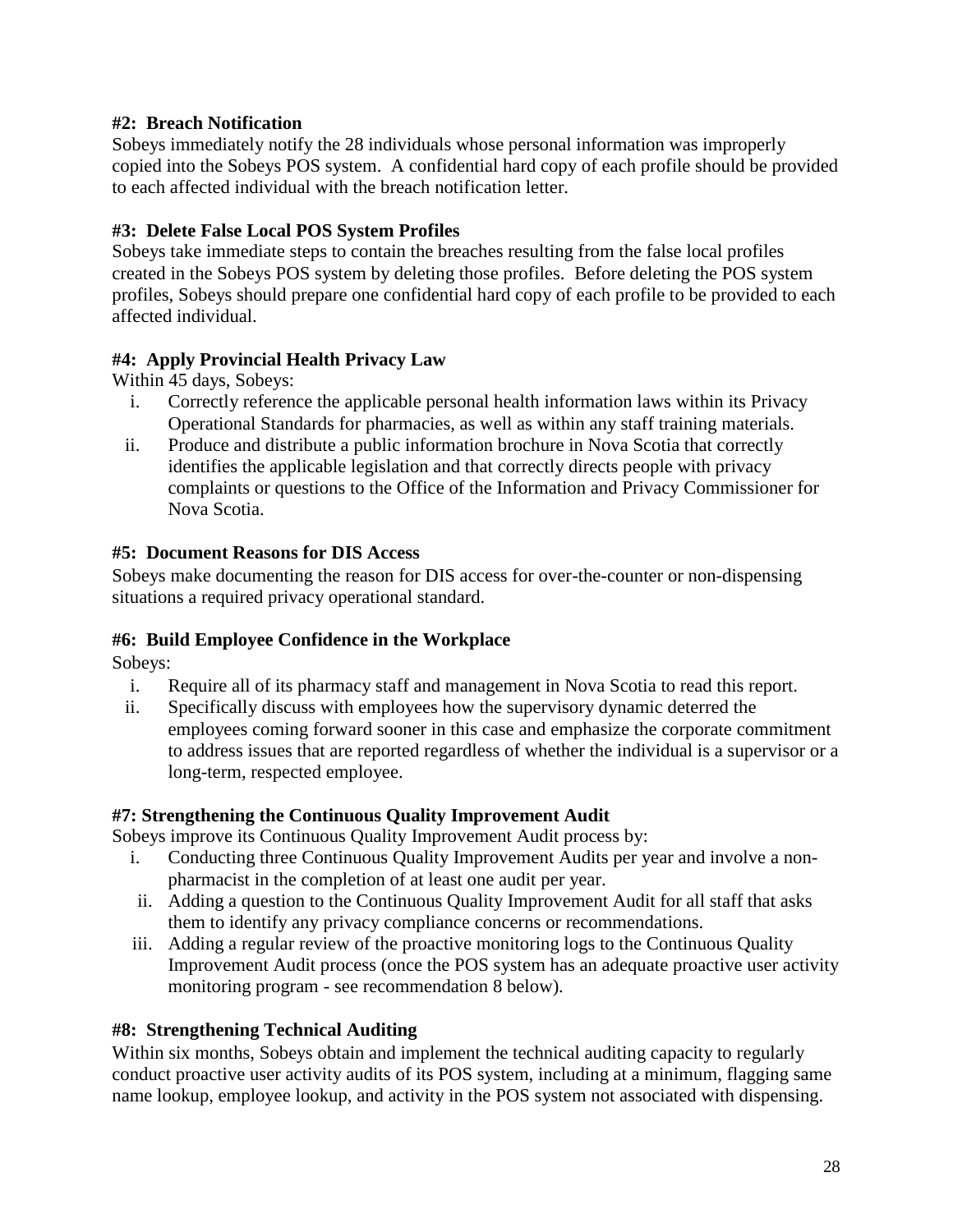#### **#2: Breach Notification**

Sobeys immediately notify the 28 individuals whose personal information was improperly copied into the Sobeys POS system. A confidential hard copy of each profile should be provided to each affected individual with the breach notification letter.

# **#3: Delete False Local POS System Profiles**

Sobeys take immediate steps to contain the breaches resulting from the false local profiles created in the Sobeys POS system by deleting those profiles. Before deleting the POS system profiles, Sobeys should prepare one confidential hard copy of each profile to be provided to each affected individual.

# **#4: Apply Provincial Health Privacy Law**

Within 45 days, Sobeys:

- i. Correctly reference the applicable personal health information laws within its Privacy Operational Standards for pharmacies, as well as within any staff training materials.
- ii. Produce and distribute a public information brochure in Nova Scotia that correctly identifies the applicable legislation and that correctly directs people with privacy complaints or questions to the Office of the Information and Privacy Commissioner for Nova Scotia.

# **#5: Document Reasons for DIS Access**

Sobeys make documenting the reason for DIS access for over-the-counter or non-dispensing situations a required privacy operational standard.

#### **#6: Build Employee Confidence in the Workplace**

Sobeys:

- i. Require all of its pharmacy staff and management in Nova Scotia to read this report.
- ii. Specifically discuss with employees how the supervisory dynamic deterred the employees coming forward sooner in this case and emphasize the corporate commitment to address issues that are reported regardless of whether the individual is a supervisor or a long-term, respected employee.

#### **#7: Strengthening the Continuous Quality Improvement Audit**

Sobeys improve its Continuous Quality Improvement Audit process by:

- i. Conducting three Continuous Quality Improvement Audits per year and involve a nonpharmacist in the completion of at least one audit per year.
- ii. Adding a question to the Continuous Quality Improvement Audit for all staff that asks them to identify any privacy compliance concerns or recommendations.
- iii. Adding a regular review of the proactive monitoring logs to the Continuous Quality Improvement Audit process (once the POS system has an adequate proactive user activity monitoring program - see recommendation 8 below).

# **#8: Strengthening Technical Auditing**

Within six months, Sobeys obtain and implement the technical auditing capacity to regularly conduct proactive user activity audits of its POS system, including at a minimum, flagging same name lookup, employee lookup, and activity in the POS system not associated with dispensing.